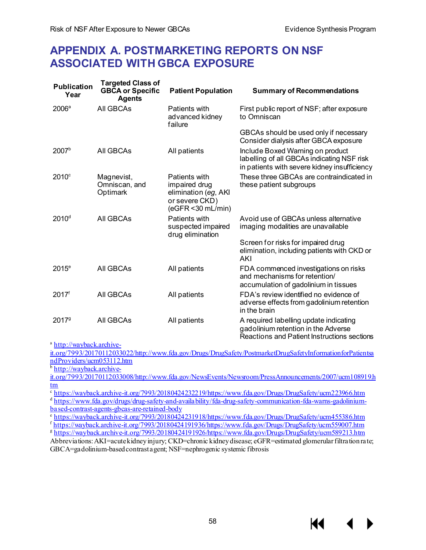## **APPENDIX A. POSTMARKETING REPORTS ON NSF ASSOCIATED WITH GBCA EXPOSURE**

| <b>Publication</b><br>Year | <b>Targeted Class of</b><br><b>GBCA or Specific</b><br><b>Agents</b> | <b>Patient Population</b>                                                                        | <b>Summary of Recommendations</b>                                                                                              |
|----------------------------|----------------------------------------------------------------------|--------------------------------------------------------------------------------------------------|--------------------------------------------------------------------------------------------------------------------------------|
| 2006 <sup>a</sup>          | All GBCAs                                                            | Patients with<br>advanced kidney<br>failure                                                      | First public report of NSF; after exposure<br>to Omniscan                                                                      |
|                            |                                                                      |                                                                                                  | GBCAs should be used only if necessary<br>Consider dialysis after GBCA exposure                                                |
| 2007 <sup>b</sup>          | All GBCAs                                                            | All patients                                                                                     | Include Boxed Warning on product<br>labelling of all GBCAs indicating NSF risk<br>in patients with severe kidney insufficiency |
| $2010$ <sup>c</sup>        | Magnevist,<br>Omniscan, and<br>Optimark                              | Patients with<br>impaired drug<br>elimination (eg, AKI<br>or severe CKD)<br>$(eGFR < 30$ mL/min) | These three GBCAs are contraindicated in<br>these patient subgroups                                                            |
| 2010 <sup>d</sup>          | All GBCAs                                                            | Patients with<br>suspected impaired<br>drug elimination                                          | Avoid use of GBCAs unless alternative<br>imaging modalities are unavailable                                                    |
|                            |                                                                      |                                                                                                  | Screen for risks for impaired drug<br>elimination, including patients with CKD or<br><b>AKI</b>                                |
| $2015^{\circ}$             | All GBCAs                                                            | All patients                                                                                     | FDA commenced investigations on risks<br>and mechanisms for retention/<br>accumulation of gadolinium in tissues                |
| 2017 <sup>f</sup>          | All GBCAs                                                            | All patients                                                                                     | FDA's review identified no evidence of<br>adverse effects from gadolinium retention<br>in the brain                            |
| 20179                      | All GBCAs                                                            | All patients                                                                                     | A required labelling update indicating<br>gadolinium retention in the Adverse<br>Reactions and Patient Instructions sections   |

<sup>a</sup> [http://wayback.archive-](http://wayback.archive-it.org/7993/20170112033022/http:/www.fda.gov/Drugs/DrugSafety/PostmarketDrugSafetyInformationforPatientsandProviders/ucm053112.htm)

[it.org/7993/20170112033022/http://www.fda.gov/Drugs/DrugSafety/PostmarketDrugSafetyInformationforPatientsa](http://wayback.archive-it.org/7993/20170112033022/http:/www.fda.gov/Drugs/DrugSafety/PostmarketDrugSafetyInformationforPatientsandProviders/ucm053112.htm) [ndProviders/ucm053112.htm](http://wayback.archive-it.org/7993/20170112033022/http:/www.fda.gov/Drugs/DrugSafety/PostmarketDrugSafetyInformationforPatientsandProviders/ucm053112.htm)

<sup>b</sup> [http://wayback.archive-](http://wayback.archive-it.org/7993/20170112033008/http:/www.fda.gov/NewsEvents/Newsroom/PressAnnouncements/2007/ucm108919.htm)

[it.org/7993/20170112033008/http://www.fda.gov/NewsEvents/Newsroom/PressAnnouncements/2007/ucm108919.h](http://wayback.archive-it.org/7993/20170112033008/http:/www.fda.gov/NewsEvents/Newsroom/PressAnnouncements/2007/ucm108919.htm) [tm](http://wayback.archive-it.org/7993/20170112033008/http:/www.fda.gov/NewsEvents/Newsroom/PressAnnouncements/2007/ucm108919.htm)

<sup>c</sup> [https://wayback.archive-it.org/7993/20180424232219/https://www.fda.gov/Drugs/DrugSafety/ucm223966.htm](https://wayback.archive-it.org/7993/20180424232219/https:/www.fda.gov/Drugs/DrugSafety/ucm223966.htm)

<sup>d</sup> [https://www.fda.gov/drugs/drug-safety-and-availability/fda-drug-safety-communication-fda-warns-gadolinium-](https://www.fda.gov/drugs/drug-safety-and-availability/fda-drug-safety-communication-fda-warns-gadolinium-based-contrast-agents-gbcas-are-retained-body)

[based-contrast-agents-gbcas-are-retained-body](https://www.fda.gov/drugs/drug-safety-and-availability/fda-drug-safety-communication-fda-warns-gadolinium-based-contrast-agents-gbcas-are-retained-body)<br>
https://wayback.archive-it.org/7993/20180424231918/https://www.fda.gov/Drugs/DrugSafety/ucm455386.htm

 $\frac{\text{f} \text{https://wayback.archive-it.org/7993/20180424191936/https://www.fda.gov/Drugs/Drugs/Orugs/0007.html}}{\text{https://wayback.archive-it.org/7993/20180424191926/https://www.fda.gov/Drugs/Drugs/0007.html}}$ 

Abbreviations: AKI=acute kidney injury; CKD=chronic kidney disease; eGFR=estimated glomerular filtration rate; GBCA=gadolinium-based contrast agent; NSF=nephrogenic systemic fibrosis

К€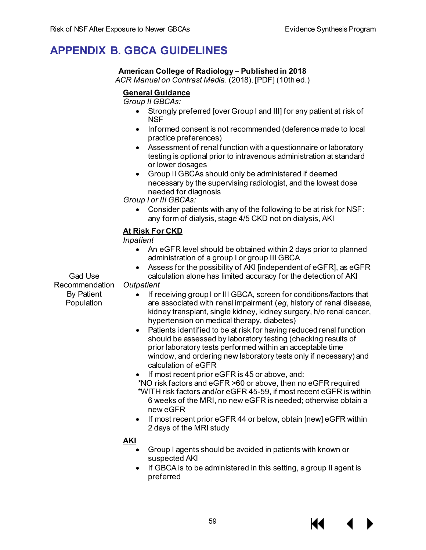# **APPENDIX B. GBCA GUIDELINES**

## **American College of Radiology – Published in 2018**

*ACR Manual on Contrast Media*. (2018). [PDF] (10th ed.)

## **General Guidance**

*Group II GBCAs:* 

- Strongly preferred [over Group I and III] for any patient at risk of **NSF**
- Informed consent is not recommended (deference made to local practice preferences)
- Assessment of renal function with a questionnaire or laboratory testing is optional prior to intravenous administration at standard or lower dosages
- Group II GBCAs should only be administered if deemed necessary by the supervising radiologist, and the lowest dose needed for diagnosis

*Group I or III GBCAs:*

• Consider patients with any of the following to be at risk for NSF: any form of dialysis, stage 4/5 CKD not on dialysis, AKI

## **At Risk For CKD**

*Inpatient*

- An eGFR level should be obtained within 2 days prior to planned administration of a group I or group III GBCA
- Assess for the possibility of AKI [independent of eGFR], as eGFR calculation alone has limited accuracy for the detection of AKI

Gad Use Recommendation *Outpatient* By Patient

Population

- If receiving group I or III GBCA, screen for conditions/factors that are associated with renal impairment (*eg*, history of renal disease, kidney transplant, single kidney, kidney surgery, h/o renal cancer, hypertension on medical therapy, diabetes)
- Patients identified to be at risk for having reduced renal function should be assessed by laboratory testing (checking results of prior laboratory tests performed within an acceptable time window, and ordering new laboratory tests only if necessary) and calculation of eGFR
- If most recent prior eGFR is 45 or above, and:
- \*NO risk factors and eGFR >60 or above, then no eGFR required \*WITH risk factors and/or eGFR 45-59, if most recent eGFR is within 6 weeks of the MRI, no new eGFR is needed; otherwise obtain a new eGFR
- If most recent prior eGFR 44 or below, obtain [new] eGFR within 2 days of the MRI study

## **AKI**

- Group I agents should be avoided in patients with known or suspected AKI
- If GBCA is to be administered in this setting, a group II agent is preferred

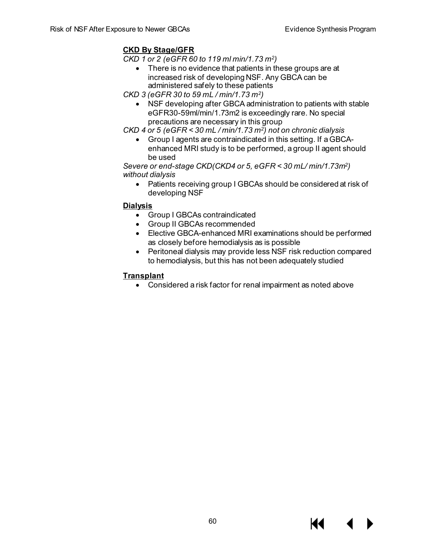## **CKD By Stage/GFR**

*CKD 1 or 2 (eGFR 60 to 119 ml min/1.73 m2)* 

• There is no evidence that patients in these groups are at increased risk of developing NSF. Any GBCA can be administered safely to these patients

*CKD 3 (eGFR 30 to 59 mL / min/1.73 m2)* 

• NSF developing after GBCA administration to patients with stable eGFR30-59ml/min/1.73m2 is exceedingly rare. No special precautions are necessary in this group

*CKD 4 or 5 (eGFR < 30 mL / min/1.73 m2) not on chronic dialysis* 

• Group I agents are contraindicated in this setting. If a GBCAenhanced MRI study is to be performed, a group II agent should be used

*Severe or end-stage CKD(CKD4 or 5, eGFR < 30 mL/ min/1.73m2) without dialysis* 

• Patients receiving group I GBCAs should be considered at risk of developing NSF

## **Dialysis**

- Group I GBCAs contraindicated
- Group II GBCAs recommended
- Elective GBCA-enhanced MRI examinations should be performed as closely before hemodialysis as is possible
- Peritoneal dialysis may provide less NSF risk reduction compared to hemodialysis, but this has not been adequately studied

## **Transplant**

• Considered a risk factor for renal impairment as noted above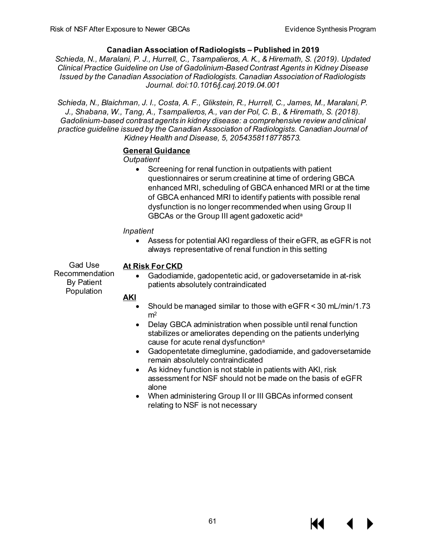## **Canadian Association of Radiologists – Published in 2019**

*Schieda, N., Maralani, P. J., Hurrell, C., Tsampalieros, A. K., & Hiremath, S. (2019). Updated Clinical Practice Guideline on Use of Gadolinium-Based Contrast Agents in Kidney Disease Issued by the Canadian Association of Radiologists. Canadian Association of Radiologists Journal. doi:10.1016/j.carj.2019.04.001*

*Schieda, N., Blaichman, J. I., Costa, A. F., Glikstein, R., Hurrell, C., James, M., Maralani, P. J., Shabana, W., Tang, A., Tsampalieros, A., van der Pol, C. B., & Hiremath, S. (2018). Gadolinium-based contrast agents in kidney disease: a comprehensive review and clinical practice guideline issued by the Canadian Association of Radiologists. Canadian Journal of Kidney Health and Disease, 5, 2054358118778573.*

## **General Guidance**

*Outpatient*

• Screening for renal function in outpatients with patient questionnaires or serum creatinine at time of ordering GBCA enhanced MRI, scheduling of GBCA enhanced MRI or at the time of GBCA enhanced MRI to identify patients with possible renal dysfunction is no longer recommended when using Group II GBCAs or the Group III agent gadoxetic acida

#### *Inpatient*

• Assess for potential AKI regardless of their eGFR, as eGFR is not always representative of renal function in this setting

Gad Use Recommendation By Patient Population

## **At Risk For CKD**

• Gadodiamide, gadopentetic acid, or gadoversetamide in at-risk patients absolutely contraindicated

## **AKI**

- Should be managed similar to those with eGFR < 30 mL/min/1.73  $m<sup>2</sup>$
- Delay GBCA administration when possible until renal function stabilizes or ameliorates depending on the patients underlying cause for acute renal dysfunction<sup>a</sup>
- Gadopentetate dimeglumine, gadodiamide, and gadoversetamide remain absolutely contraindicated
- As kidney function is not stable in patients with AKI, risk assessment for NSF should not be made on the basis of eGFR alone
- When administering Group II or III GBCAs informed consent relating to NSF is not necessary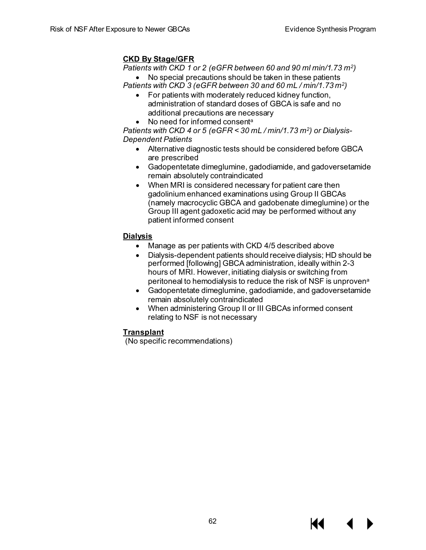## **CKD By Stage/GFR**

*Patients with CKD 1 or 2 (eGFR between 60 and 90 ml min/1.73 m2)* 

• No special precautions should be taken in these patients *Patients with CKD 3 (eGFR between 30 and 60 mL / min/1.73 m2)* 

- For patients with moderately reduced kidney function, administration of standard doses of GBCA is safe and no additional precautions are necessary
- No need for informed consent<sup>a</sup>

*Patients with CKD 4 or 5 (eGFR < 30 mL / min/1.73 m2) or Dialysis-Dependent Patients* 

- Alternative diagnostic tests should be considered before GBCA are prescribed
- Gadopentetate dimeglumine, gadodiamide, and gadoversetamide remain absolutely contraindicated
- When MRI is considered necessary for patient care then gadolinium enhanced examinations using Group II GBCAs (namely macrocyclic GBCA and gadobenate dimeglumine) or the Group III agent gadoxetic acid may be performed without any patient informed consent

## **Dialysis**

- Manage as per patients with CKD 4/5 described above
- Dialysis-dependent patients should receive dialysis; HD should be performed [following] GBCA administration, ideally within 2-3 hours of MRI. However, initiating dialysis or switching from peritoneal to hemodialysis to reduce the risk of NSF is unproven<sup>a</sup>
- Gadopentetate dimeglumine, gadodiamide, and gadoversetamide remain absolutely contraindicated
- When administering Group II or III GBCAs informed consent relating to NSF is not necessary

## **Transplant**

(No specific recommendations)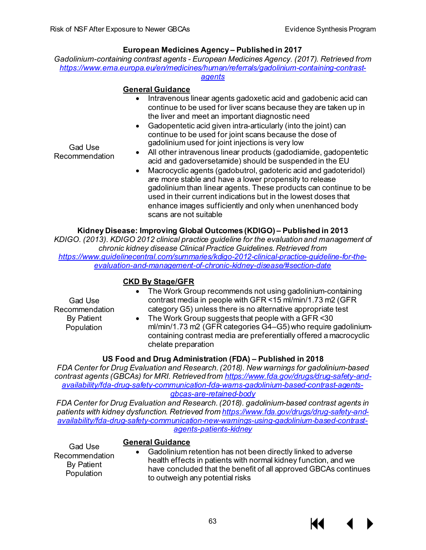## **European Medicines Agency – Published in 2017**

*Gadolinium-containing contrast agents - European Medicines Agency. (2017). Retrieved from [https://www.ema.europa.eu/en/medicines/human/referrals/gadolinium-containing-contrast-](https://www.ema.europa.eu/en/medicines/human/referrals/gadolinium-containing-contrast-agents)*

## *[agents](https://www.ema.europa.eu/en/medicines/human/referrals/gadolinium-containing-contrast-agents)*

## **General Guidance**

- Intravenous linear agents gadoxetic acid and gadobenic acid can continue to be used for liver scans because they are taken up in the liver and meet an important diagnostic need
- Gadopentetic acid given intra-articularly (into the joint) can continue to be used for joint scans because the dose of gadolinium used for joint injections is very low

Gad Use Recommendation

- All other intravenous linear products (gadodiamide, gadopentetic acid and gadoversetamide) should be suspended in the EU
- Macrocyclic agents (gadobutrol, gadoteric acid and gadoteridol) are more stable and have a lower propensity to release gadolinium than linear agents. These products can continue to be used in their current indications but in the lowest doses that enhance images sufficiently and only when unenhanced body scans are not suitable

## **Kidney Disease: Improving Global Outcomes (KDIGO) – Published in 2013**

*KDIGO. (2013). KDIGO 2012 clinical practice guideline for the evaluation and management of chronic kidney disease Clinical Practice Guidelines. Retrieved from [https://www.guidelinecentral.com/summaries/kdigo-2012-clinical-practice-guideline-for-the](https://www.guidelinecentral.com/summaries/kdigo-2012-clinical-practice-guideline-for-the-evaluation-and-management-of-chronic-kidney-disease/#section-date)[evaluation-and-management-of-chronic-kidney-disease/#section-date](https://www.guidelinecentral.com/summaries/kdigo-2012-clinical-practice-guideline-for-the-evaluation-and-management-of-chronic-kidney-disease/#section-date)*

## **CKD By Stage/GFR**

- Gad Use Recommendation By Patient Population
- The Work Group recommends not using gadolinium-containing contrast media in people with GFR <15 ml/min/1.73 m2 (GFR category G5) unless there is no alternative appropriate test
- The Work Group suggests that people with a GFR <30 ml/min/1.73 m2 (GFR categories G4–G5) who require gadoliniumcontaining contrast media are preferentially offered a macrocyclic chelate preparation

## **US Food and Drug Administration (FDA) – Published in 2018**

*FDA Center for Drug Evaluation and Research. (2018). New warnings for gadolinium-based contrast agents (GBCAs) for MRI. Retrieved fro[m https://www.fda.gov/drugs/drug-safety-and](https://www.fda.gov/drugs/drug-safety-and-availability/fda-drug-safety-communication-fda-warns-gadolinium-based-contrast-agents-gbcas-are-retained-body)[availability/fda-drug-safety-communication-fda-warns-gadolinium-based-contrast-agents](https://www.fda.gov/drugs/drug-safety-and-availability/fda-drug-safety-communication-fda-warns-gadolinium-based-contrast-agents-gbcas-are-retained-body)[gbcas-are-retained-body](https://www.fda.gov/drugs/drug-safety-and-availability/fda-drug-safety-communication-fda-warns-gadolinium-based-contrast-agents-gbcas-are-retained-body)*

*FDA Center for Drug Evaluation and Research. (2018). gadolinium-based contrast agents in patients with kidney dysfunction. Retrieved fro[m https://www.fda.gov/drugs/drug-safety-and](https://www.fda.gov/drugs/drug-safety-and-availability/fda-drug-safety-communication-new-warnings-using-gadolinium-based-contrast-agents-patients-kidney)[availability/fda-drug-safety-communication-new-warnings-using-gadolinium-based-contrast](https://www.fda.gov/drugs/drug-safety-and-availability/fda-drug-safety-communication-new-warnings-using-gadolinium-based-contrast-agents-patients-kidney)[agents-patients-kidney](https://www.fda.gov/drugs/drug-safety-and-availability/fda-drug-safety-communication-new-warnings-using-gadolinium-based-contrast-agents-patients-kidney)*

## **General Guidance**

Gad Use Recommendation By Patient Population

• Gadolinium retention has not been directly linked to adverse health effects in patients with normal kidney function, and we have concluded that the benefit of all approved GBCAs continues to outweigh any potential risks

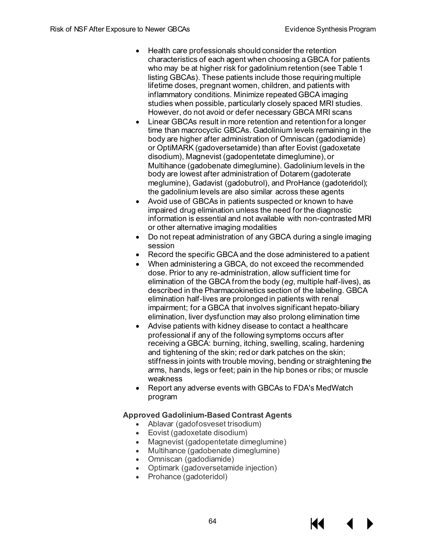- Health care professionals should consider the retention characteristics of each agent when choosing a GBCA for patients who may be at higher risk for gadolinium retention (see Table 1 listing GBCAs). These patients include those requiring multiple lifetime doses, pregnant women, children, and patients with inflammatory conditions. Minimize repeated GBCA imaging studies when possible, particularly closely spaced MRI studies. However, do not avoid or defer necessary GBCA MRI scans
- Linear GBCAs result in more retention and retention for a longer time than macrocyclic GBCAs. Gadolinium levels remaining in the body are higher after administration of Omniscan (gadodiamide) or OptiMARK (gadoversetamide) than after Eovist (gadoxetate disodium), Magnevist (gadopentetate dimeglumine), or Multihance (gadobenate dimeglumine). Gadolinium levels in the body are lowest after administration of Dotarem (gadoterate meglumine), Gadavist (gadobutrol), and ProHance (gadoteridol); the gadolinium levels are also similar across these agents
- Avoid use of GBCAs in patients suspected or known to have impaired drug elimination unless the need for the diagnostic information is essential and not available with non-contrasted MRI or other alternative imaging modalities
- Do not repeat administration of any GBCA during a single imaging session
- Record the specific GBCA and the dose administered to a patient
- When administering a GBCA, do not exceed the recommended dose. Prior to any re-administration, allow sufficient time for elimination of the GBCA from the body (*eg*, multiple half-lives), as described in the Pharmacokinetics section of the labeling. GBCA elimination half-lives are prolonged in patients with renal impairment; for a GBCA that involves significant hepato-biliary elimination, liver dysfunction may also prolong elimination time
- Advise patients with kidney disease to contact a healthcare professional if any of the following symptoms occurs after receiving a GBCA: burning, itching, swelling, scaling, hardening and tightening of the skin; red or dark patches on the skin; stiffness in joints with trouble moving, bending or straightening the arms, hands, legs or feet; pain in the hip bones or ribs; or muscle weakness
- Report any adverse events with GBCAs to FDA's MedWatch program

## **Approved Gadolinium-Based Contrast Agents**

- Ablavar (gadofosveset trisodium)
- Eovist (gadoxetate disodium)
- Magnevist (gadopentetate dimeglumine)
- Multihance (gadobenate dimeglumine)
- Omniscan (gadodiamide)
- Optimark (gadoversetamide injection)
- Prohance (gadoteridol)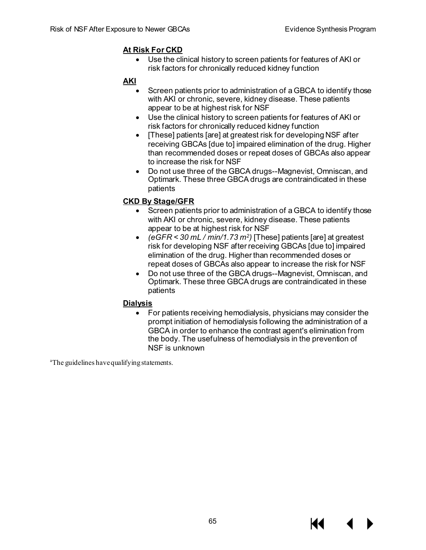## **At Risk For CKD**

• Use the clinical history to screen patients for features of AKI or risk factors for chronically reduced kidney function

## **AKI**

- Screen patients prior to administration of a GBCA to identify those with AKI or chronic, severe, kidney disease. These patients appear to be at highest risk for NSF
- Use the clinical history to screen patients for features of AKI or risk factors for chronically reduced kidney function
- [These] patients [are] at greatest risk for developing NSF after receiving GBCAs [due to] impaired elimination of the drug. Higher than recommended doses or repeat doses of GBCAs also appear to increase the risk for NSF
- Do not use three of the GBCA drugs--Magnevist, Omniscan, and Optimark. These three GBCA drugs are contraindicated in these patients

## **CKD By Stage/GFR**

- Screen patients prior to administration of a GBCA to identify those with AKI or chronic, severe, kidney disease. These patients appear to be at highest risk for NSF
- *(eGFR < 30 mL / min/1.73 m2)* [These] patients [are] at greatest risk for developing NSF after receiving GBCAs [due to] impaired elimination of the drug. Higher than recommended doses or repeat doses of GBCAs also appear to increase the risk for NSF
- Do not use three of the GBCA drugs--Magnevist, Omniscan, and Optimark. These three GBCA drugs are contraindicated in these patients

## **Dialysis**

• For patients receiving hemodialysis, physicians may consider the prompt initiation of hemodialysis following the administration of a GBCA in order to enhance the contrast agent's elimination from the body. The usefulness of hemodialysis in the prevention of NSF is unknown

<sup>a</sup>The guidelines have qualifying statements.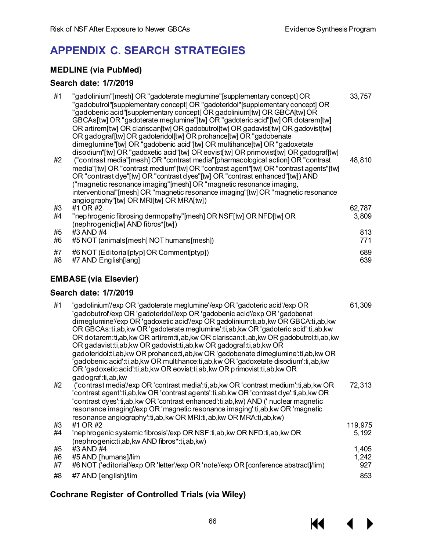**KK 4** 

# **APPENDIX C. SEARCH STRATEGIES**

## **MEDLINE (via PubMed)**

## **Search date: 1/7/2019**

| #1             | "gadolinium"[mesh] OR "gadoterate meglumine"[supplementary concept] OR<br>"gadobutrol"[supplementary concept] OR "gadoteridol"[supplementary concept] OR<br>"gadobenic acid"[supplementary concept] OR gadolinium[tw] OR GBCA[tw] OR<br>GBCAs[tw] OR "gadoterate meglumine"[tw] OR "gadoteric acid"[tw] OR dotarem[tw]<br>OR artirem[tw] OR clariscan[tw] OR gadobutrol[tw] OR gadavist[tw] OR gadovist[tw]<br>OR gadografftw] OR gadoteridolftw] OR prohance [tw] OR "gadobenate<br>dimeglumine"[tw] OR "gadobenic acid"[tw] OR multihance[tw] OR "gadoxetate                                                                                                                                                                                                          | 33,757                |
|----------------|-------------------------------------------------------------------------------------------------------------------------------------------------------------------------------------------------------------------------------------------------------------------------------------------------------------------------------------------------------------------------------------------------------------------------------------------------------------------------------------------------------------------------------------------------------------------------------------------------------------------------------------------------------------------------------------------------------------------------------------------------------------------------|-----------------------|
| #2             | disodium"[tw] OR "gadoxetic acid"[tw] OR eovist[tw] OR primovist[tw] OR gadograf[tw]<br>("contrast media" [mesh] OR "contrast media" [pharmacological action] OR "contrast<br>media"[tw] OR "contrast medium"[tw] OR "contrast agent"[tw] OR "contrast agents"[tw]<br>OR "contrast dye"[tw] OR "contrast dyes"[tw] OR "contrast enhanced"[tw]) AND<br>("magnetic resonance imaging"[mesh] OR "magnetic resonance imaging,<br>interventional" [mesh] OR "magnetic resonance imaging" [tw] OR "magnetic resonance<br>angiography"[tw] OR MRI[tw] OR MRA[tw])                                                                                                                                                                                                              | 48,810                |
| #3             | #1 OR #2                                                                                                                                                                                                                                                                                                                                                                                                                                                                                                                                                                                                                                                                                                                                                                | 62,787                |
| #4             | "nephrogenic fibrosing dermopathy"[mesh] OR NSF[tw] OR NFD[tw] OR<br>(nephrogenic[tw] AND fibros*[tw])                                                                                                                                                                                                                                                                                                                                                                                                                                                                                                                                                                                                                                                                  | 3,809                 |
| #5<br>#6       | #3 AND #4<br>#5 NOT (animals[mesh] NOT humans[mesh])                                                                                                                                                                                                                                                                                                                                                                                                                                                                                                                                                                                                                                                                                                                    | 813<br>771            |
|                |                                                                                                                                                                                                                                                                                                                                                                                                                                                                                                                                                                                                                                                                                                                                                                         |                       |
| #7<br>#8       | #6 NOT (Editorial[ptyp] OR Comment[ptyp])<br>#7 AND English[lang]                                                                                                                                                                                                                                                                                                                                                                                                                                                                                                                                                                                                                                                                                                       | 689<br>639            |
|                | <b>EMBASE (via Elsevier)</b>                                                                                                                                                                                                                                                                                                                                                                                                                                                                                                                                                                                                                                                                                                                                            |                       |
|                | Search date: 1/7/2019                                                                                                                                                                                                                                                                                                                                                                                                                                                                                                                                                                                                                                                                                                                                                   |                       |
| #1             | 'gadolinium'/exp OR 'gadoterate meglumine'/exp OR 'gadoteric acid'/exp OR<br>'gadobutrol'/exp OR 'gadoteridol'/exp OR 'gadobenic acid'/exp OR 'gadobenat<br>dimeglumine'/exp OR 'gadoxetic acid'/exp OR gadolinium:ti,ab, kw OR GBCA:ti,ab, kw<br>OR GBCAs:ti,ab,kw OR 'gadoterate meglumine':ti,ab,kw OR 'gadoteric acid':ti,ab,kw<br>OR dotarem:ti,ab, kw OR artirem:ti, ab, kw OR clariscan:ti, ab, kw OR gadobutrol:ti, ab, kw<br>OR gadavist: ti, ab, kw OR gadovist: ti, ab, kw OR gadograf: ti, ab, kw OR<br>gadoteridol:ti,ab,kw OR prohance:ti,ab,kw OR 'gadobenate dimeglumine':ti,ab,kw OR<br>'gadobenic acid':ti,ab,kw OR multihance:ti,ab,kw OR 'gadoxetate disodium':ti,ab,kw<br>OR 'gadoxetic acid':ti,ab,kw OR eovist:ti,ab,kw OR primovist:ti,ab,kw OR | 61,309                |
| #2             | gadograf:ti,ab, kw<br>('contrast media'/exp OR 'contrast media':ti,ab, kw OR 'contrast medium':ti,ab, kw OR<br>'contrast agent':ti,ab, kw OR 'contrast agents':ti, ab, kw OR 'contrast dye':ti,ab, kw OR<br>'contrast dyes':ti,ab, kw OR 'contrast enhanced':ti,ab, kw) AND ('nuclear magnetic<br>resonance imaging'/exp OR 'magnetic resonance imaging':ti,ab, kw OR 'magnetic<br>resonance angiography':ti,ab, kw OR MRI:ti, ab, kw OR MRA:ti, ab, kw)                                                                                                                                                                                                                                                                                                                | 72,313                |
| #3             | #1 OR #2                                                                                                                                                                                                                                                                                                                                                                                                                                                                                                                                                                                                                                                                                                                                                                | 119,975               |
| #4             | 'nephrogenic systemic fibrosis'/exp OR NSF:ti,ab, kw OR NFD:ti,ab, kw OR                                                                                                                                                                                                                                                                                                                                                                                                                                                                                                                                                                                                                                                                                                | 5,192                 |
| #5<br>#6<br>#7 | (nephrogenic:ti,ab, kw AND fibros*:ti, ab, kw)<br>#3 AND #4<br>#5 AND [humans]/lim<br>#6 NOT ('editorial'/exp OR 'letter'/exp OR 'note'/exp OR [conference abstract]/lim)                                                                                                                                                                                                                                                                                                                                                                                                                                                                                                                                                                                               | 1,405<br>1,242<br>927 |
| #8             | #7 AND [english]/lim                                                                                                                                                                                                                                                                                                                                                                                                                                                                                                                                                                                                                                                                                                                                                    | 853                   |

## **Cochrane Register of Controlled Trials (via Wiley)**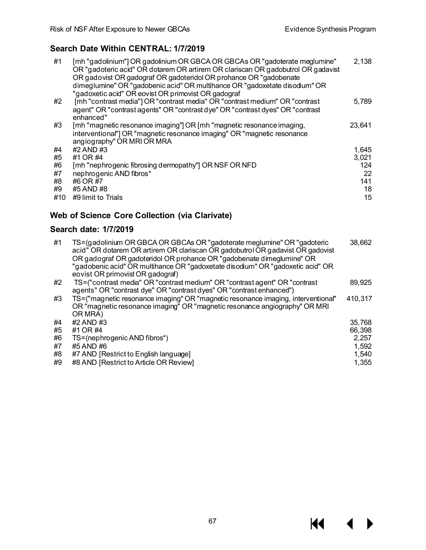$M \cdot 1$ 

 $\blacktriangleright$ 

## **Search Date Within CENTRAL: 1/7/2019**

| #1  | [mh "gadolinium"] OR gadolinium OR GBCA OR GBCAs OR "gadoterate meglumine"<br>OR "gadoteric acid" OR dotarem OR artirem OR clariscan OR gadobutrol OR gadavist<br>OR gadovist OR gadograf OR gadoteridol OR prohance OR "gadobenate"<br>dimeglumine" OR "gadobenic acid" OR multihance OR "gadoxetate disodium" OR<br>"gadoxetic acid" OR eovist OR primovist OR gadograf | 2,138  |
|-----|---------------------------------------------------------------------------------------------------------------------------------------------------------------------------------------------------------------------------------------------------------------------------------------------------------------------------------------------------------------------------|--------|
| #2  | [mh "contrast media"] OR "contrast media" OR "contrast medium" OR "contrast<br>agent" OR "contrast agents" OR "contrast dye" OR "contrast dyes" OR "contrast<br>enhanced"                                                                                                                                                                                                 | 5,789  |
| #3  | [mh "magnetic resonance imaging"] OR [mh "magnetic resonance imaging,<br>interventional"] OR "magnetic resonance imaging" OR "magnetic resonance<br>angiography" OR MRI OR MRA                                                                                                                                                                                            | 23,641 |
| #4  | #2 AND #3                                                                                                                                                                                                                                                                                                                                                                 | 1,645  |
| #5  | #1 OR #4                                                                                                                                                                                                                                                                                                                                                                  | 3,021  |
| #6  | [mh "nephrogenic fibrosing dermopathy"] OR NSF OR NFD                                                                                                                                                                                                                                                                                                                     | 124    |
| #7  | nephrogenic AND fibros*                                                                                                                                                                                                                                                                                                                                                   | 22     |
| #8  | #6 OR #7                                                                                                                                                                                                                                                                                                                                                                  | 141    |
| #9  | #5 AND #8                                                                                                                                                                                                                                                                                                                                                                 | 18     |
| #10 | #9 limit to Trials                                                                                                                                                                                                                                                                                                                                                        | 15     |

## **Web of Science Core Collection (via Clarivate)**

## **Search date: 1/7/2019**

| #1 | TS=(gadolinium OR GBCA OR GBCAs OR "gadoterate meglumine" OR "gadoteric<br>acid" OR dotarem OR artirem OR clariscan OR gadobutrol OR gadavist OR gadovist<br>OR gadograf OR gadoteridol OR prohance OR "gadobenate dimeglumine" OR<br>"gadobenic acid" OR multihance OR "gadoxetate disodium" OR "gadoxetic acid" OR<br>eovist OR primovist OR gadograf) | 38,662  |
|----|----------------------------------------------------------------------------------------------------------------------------------------------------------------------------------------------------------------------------------------------------------------------------------------------------------------------------------------------------------|---------|
| #2 | TS=("contrast media" OR "contrast medium" OR "contrast agent" OR "contrast<br>agents" OR "contrast dye" OR "contrast dyes" OR "contrast enhanced")                                                                                                                                                                                                       | 89,925  |
| #3 | TS=("magnetic resonance imaging" OR "magnetic resonance imaging, interventional"<br>OR "magnetic resonance imaging" OR "magnetic resonance angiography" OR MRI<br>OR MRA)                                                                                                                                                                                | 410,317 |
| #4 | #2 AND #3                                                                                                                                                                                                                                                                                                                                                | 35,768  |
| #5 | #1 OR #4                                                                                                                                                                                                                                                                                                                                                 | 66,398  |
| #6 | TS=(nephrogenic AND fibros*)                                                                                                                                                                                                                                                                                                                             | 2,257   |
| #7 | #5 AND #6                                                                                                                                                                                                                                                                                                                                                | 1,592   |
| #8 | #7 AND [Restrict to English language]                                                                                                                                                                                                                                                                                                                    | 1,540   |
| #9 | #8 AND [Restrict to Article OR Review]                                                                                                                                                                                                                                                                                                                   | 1,355   |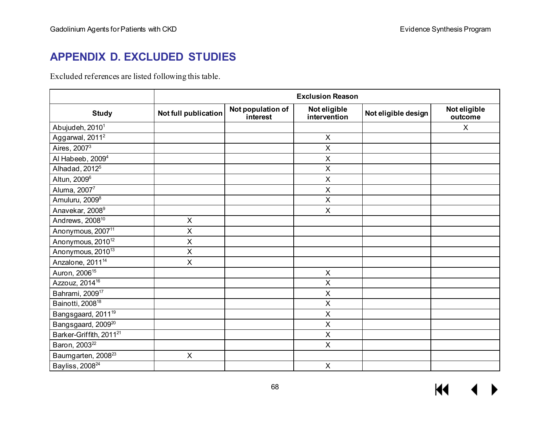# **APPENDIX D. EXCLUDED STUDIES**

Excluded references are listed following this table.

|                                     | <b>Exclusion Reason</b> |                               |                              |                     |                         |
|-------------------------------------|-------------------------|-------------------------------|------------------------------|---------------------|-------------------------|
| <b>Study</b>                        | Not full publication    | Not population of<br>interest | Not eligible<br>intervention | Not eligible design | Not eligible<br>outcome |
| Abujudeh, 2010 <sup>1</sup>         |                         |                               |                              |                     | X                       |
| Aggarwal, 2011 <sup>2</sup>         |                         |                               | $\mathsf{X}$                 |                     |                         |
| Aires, $2007^3$                     |                         |                               | $\pmb{\times}$               |                     |                         |
| Al Habeeb, 2009 <sup>4</sup>        |                         |                               | X                            |                     |                         |
| Alhadad, 2012 <sup>5</sup>          |                         |                               | $\boldsymbol{\mathsf{X}}$    |                     |                         |
| Altun, 2009 <sup>6</sup>            |                         |                               | $\boldsymbol{\mathsf{X}}$    |                     |                         |
| Aluma, 20077                        |                         |                               | $\boldsymbol{\mathsf{X}}$    |                     |                         |
| Amuluru, 2009 <sup>8</sup>          |                         |                               | $\pmb{\times}$               |                     |                         |
| Anavekar, 2008 <sup>9</sup>         |                         |                               | $\boldsymbol{\mathsf{X}}$    |                     |                         |
| Andrews, 2008 <sup>10</sup>         | X                       |                               |                              |                     |                         |
| Anonymous, 2007 <sup>11</sup>       | X                       |                               |                              |                     |                         |
| Anonymous, 2010 <sup>12</sup>       | X                       |                               |                              |                     |                         |
| Anonymous, 2010 <sup>13</sup>       | $\mathsf{X}$            |                               |                              |                     |                         |
| Anzalone, 2011 <sup>14</sup>        | $\pmb{\times}$          |                               |                              |                     |                         |
| Auron, 2006 <sup>15</sup>           |                         |                               | $\boldsymbol{\mathsf{X}}$    |                     |                         |
| Azzouz, 2014 <sup>16</sup>          |                         |                               | $\sf X$                      |                     |                         |
| Bahrami, 2009 <sup>17</sup>         |                         |                               | $\sf X$                      |                     |                         |
| Bainotti, 2008 <sup>18</sup>        |                         |                               | $\pmb{\times}$               |                     |                         |
| Bangsgaard, 2011 <sup>19</sup>      |                         |                               | $\boldsymbol{\mathsf{X}}$    |                     |                         |
| Bangsgaard, 2009 <sup>20</sup>      |                         |                               | $\pmb{\times}$               |                     |                         |
| Barker-Griffith, 2011 <sup>21</sup> |                         |                               | $\sf X$                      |                     |                         |
| Baron, 2003 <sup>22</sup>           |                         |                               | $\boldsymbol{\mathsf{X}}$    |                     |                         |
| Baumgarten, 2008 <sup>23</sup>      | $\mathsf{X}$            |                               |                              |                     |                         |
| Bayliss, 2008 <sup>24</sup>         |                         |                               | $\pmb{\times}$               |                     |                         |

 $M = 4$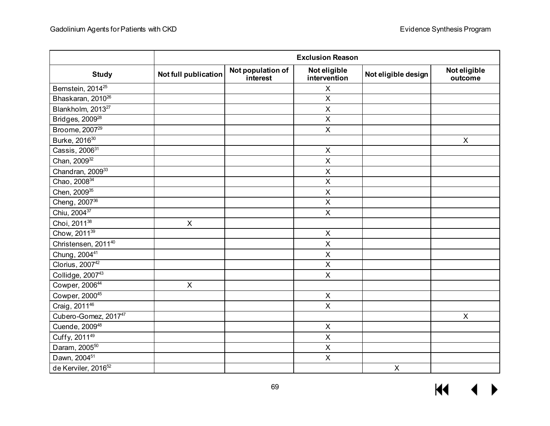|                                 | <b>Exclusion Reason</b>   |                               |                              |                     |                         |
|---------------------------------|---------------------------|-------------------------------|------------------------------|---------------------|-------------------------|
| <b>Study</b>                    | Not full publication      | Not population of<br>interest | Not eligible<br>intervention | Not eligible design | Not eligible<br>outcome |
| Bernstein, 2014 <sup>25</sup>   |                           |                               | X                            |                     |                         |
| Bhaskaran, 2010 <sup>26</sup>   |                           |                               | $\mathsf X$                  |                     |                         |
| Blankholm, 2013 <sup>27</sup>   |                           |                               | X                            |                     |                         |
| Bridges, 2009 <sup>28</sup>     |                           |                               | $\overline{X}$               |                     |                         |
| Broome, 2007 <sup>29</sup>      |                           |                               | $\overline{\mathsf{X}}$      |                     |                         |
| Burke, 2016 <sup>30</sup>       |                           |                               |                              |                     | $\pmb{\mathsf{X}}$      |
| Cassis, 2006 <sup>31</sup>      |                           |                               | $\mathsf X$                  |                     |                         |
| Chan, 2009 <sup>32</sup>        |                           |                               | $\sf X$                      |                     |                         |
| Chandran, 2009 <sup>33</sup>    |                           |                               | $\sf X$                      |                     |                         |
| Chao, 2008 <sup>34</sup>        |                           |                               | $\overline{X}$               |                     |                         |
| Chen, 2009 <sup>35</sup>        |                           |                               | $\pmb{\times}$               |                     |                         |
| Cheng, 2007 <sup>36</sup>       |                           |                               | $\overline{X}$               |                     |                         |
| Chiu, 2004 <sup>37</sup>        |                           |                               | $\pmb{\times}$               |                     |                         |
| Choi, 2011 <sup>38</sup>        | $\mathsf{X}$              |                               |                              |                     |                         |
| Chow, 2011 <sup>39</sup>        |                           |                               | $\mathsf X$                  |                     |                         |
| Christensen, 2011 <sup>40</sup> |                           |                               | $\mathsf X$                  |                     |                         |
| Chung, 2004 <sup>41</sup>       |                           |                               | X                            |                     |                         |
| Clorius, 200742                 |                           |                               | $\sf X$                      |                     |                         |
| Collidge, 200743                |                           |                               | $\mathsf{X}$                 |                     |                         |
| Cowper, 200644                  | $\boldsymbol{\mathsf{X}}$ |                               |                              |                     |                         |
| Cowper, 200045                  |                           |                               | $\mathsf X$                  |                     |                         |
| Craig, 2011 <sup>46</sup>       |                           |                               | $\mathsf{X}$                 |                     |                         |
| Cubero-Gomez, 201747            |                           |                               |                              |                     | $\pmb{\times}$          |
| Cuende, 2009 <sup>48</sup>      |                           |                               | $\mathsf X$                  |                     |                         |
| Cuffy, 2011 <sup>49</sup>       |                           |                               | $\mathsf X$                  |                     |                         |
| Daram, 2005 <sup>50</sup>       |                           |                               | $\mathsf X$                  |                     |                         |
| Dawn, 2004 <sup>51</sup>        |                           |                               | $\mathsf X$                  |                     |                         |
| de Kerviler, 2016 <sup>52</sup> |                           |                               |                              | $\mathsf{X}$        |                         |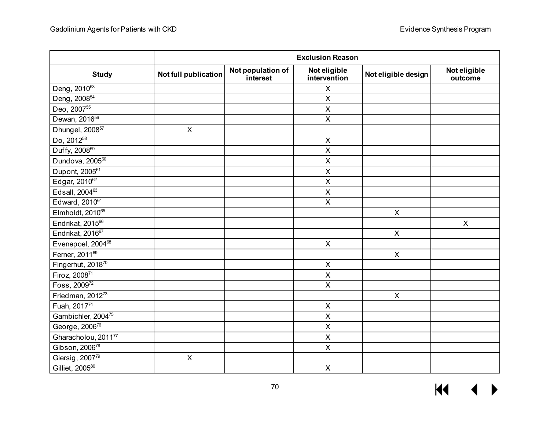|                                 | <b>Exclusion Reason</b> |                               |                              |                     |                         |  |
|---------------------------------|-------------------------|-------------------------------|------------------------------|---------------------|-------------------------|--|
| <b>Study</b>                    | Not full publication    | Not population of<br>interest | Not eligible<br>intervention | Not eligible design | Not eligible<br>outcome |  |
| Deng, 2010 <sup>53</sup>        |                         |                               | X                            |                     |                         |  |
| Deng, 2008 <sup>54</sup>        |                         |                               | $\mathsf X$                  |                     |                         |  |
| Deo, 2007 <sup>55</sup>         |                         |                               | $\mathsf X$                  |                     |                         |  |
| Dewan, 2016 <sup>56</sup>       |                         |                               | $\mathsf X$                  |                     |                         |  |
| Dhungel, 2008 <sup>57</sup>     | $\mathsf{X}$            |                               |                              |                     |                         |  |
| Do, 2012 <sup>58</sup>          |                         |                               | $\pmb{\times}$               |                     |                         |  |
| Duffy, 2008 <sup>59</sup>       |                         |                               | $\sf X$                      |                     |                         |  |
| Dundova, 200560                 |                         |                               | $\sf X$                      |                     |                         |  |
| Dupont, 2005 <sup>61</sup>      |                         |                               | $\pmb{\times}$               |                     |                         |  |
| Edgar, 2010 <sup>62</sup>       |                         |                               | $\overline{X}$               |                     |                         |  |
| Edsall, 2004 <sup>63</sup>      |                         |                               | $\mathsf X$                  |                     |                         |  |
| Edward, 2010 <sup>64</sup>      |                         |                               | $\overline{X}$               |                     |                         |  |
| Elmholdt, 2010 <sup>65</sup>    |                         |                               |                              | $\pmb{\times}$      |                         |  |
| Endrikat, 2015 <sup>66</sup>    |                         |                               |                              |                     | $\mathsf{X}$            |  |
| Endrikat, 2016 <sup>67</sup>    |                         |                               |                              | $\mathsf{X}$        |                         |  |
| Evenepoel, 2004 <sup>68</sup>   |                         |                               | $\mathsf X$                  |                     |                         |  |
| Ferner, 2011 <sup>69</sup>      |                         |                               |                              | $\mathsf{X}$        |                         |  |
| Fingerhut, 201870               |                         |                               | $\mathsf X$                  |                     |                         |  |
| Firoz, 200871                   |                         |                               | $\mathsf X$                  |                     |                         |  |
| Foss, 2009 <sup>72</sup>        |                         |                               | $\overline{X}$               |                     |                         |  |
| Friedman, 2012 <sup>73</sup>    |                         |                               |                              | $\mathsf{X}$        |                         |  |
| Fuah, 201774                    |                         |                               | X                            |                     |                         |  |
| Gambichler, 200475              |                         |                               | $\pmb{\times}$               |                     |                         |  |
| George, 200676                  |                         |                               | $\sf X$                      |                     |                         |  |
| Gharacholou, 2011 <sup>77</sup> |                         |                               | $\overline{\mathsf{X}}$      |                     |                         |  |
| Gibson, 2006 <sup>78</sup>      |                         |                               | $\pmb{\times}$               |                     |                         |  |
| Giersig, 200779                 | $\pmb{\times}$          |                               |                              |                     |                         |  |
| Gilliet, 2005 <sup>80</sup>     |                         |                               | $\overline{X}$               |                     |                         |  |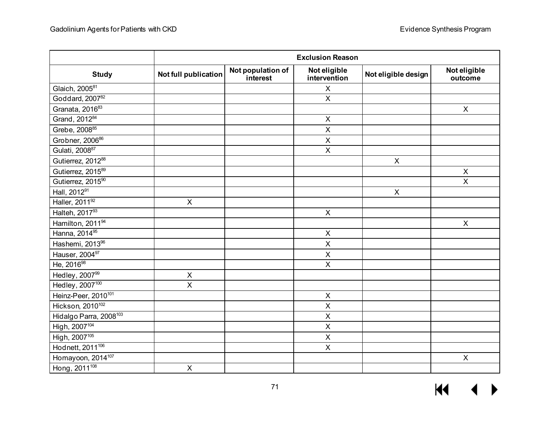|                                    | <b>Exclusion Reason</b> |                               |                              |                     |                         |  |
|------------------------------------|-------------------------|-------------------------------|------------------------------|---------------------|-------------------------|--|
| <b>Study</b>                       | Not full publication    | Not population of<br>interest | Not eligible<br>intervention | Not eligible design | Not eligible<br>outcome |  |
| Glaich, 2005 <sup>81</sup>         |                         |                               | X                            |                     |                         |  |
| Goddard, 200782                    |                         |                               | $\mathsf{X}$                 |                     |                         |  |
| Granata, 2016 <sup>83</sup>        |                         |                               |                              |                     | $\mathsf{X}$            |  |
| Grand, 201284                      |                         |                               | $\pmb{\times}$               |                     |                         |  |
| Grebe, 200885                      |                         |                               | $\mathsf X$                  |                     |                         |  |
| Grobner, 2006 <sup>86</sup>        |                         |                               | $\sf X$                      |                     |                         |  |
| Gulati, 2008 <sup>87</sup>         |                         |                               | $\pmb{\times}$               |                     |                         |  |
| Gutierrez, 201288                  |                         |                               |                              | $\pmb{\times}$      |                         |  |
| Gutierrez, 2015 <sup>89</sup>      |                         |                               |                              |                     | X                       |  |
| Gutierrez, 2015 <sup>90</sup>      |                         |                               |                              |                     | $\overline{X}$          |  |
| Hall, 2012 <sup>91</sup>           |                         |                               |                              | $\pmb{\times}$      |                         |  |
| Haller, 2011 <sup>92</sup>         | $\pmb{\times}$          |                               |                              |                     |                         |  |
| Halteh, 201793                     |                         |                               | $\mathsf X$                  |                     |                         |  |
| Hamilton, 2011 <sup>94</sup>       |                         |                               |                              |                     | X                       |  |
| Hanna, 2014 <sup>95</sup>          |                         |                               | $\mathsf X$                  |                     |                         |  |
| Hashemi, 2013 <sup>96</sup>        |                         |                               | $\mathsf X$                  |                     |                         |  |
| Hauser, 2004 <sup>97</sup>         |                         |                               | X                            |                     |                         |  |
| He, $2016^{98}$                    |                         |                               | $\mathsf X$                  |                     |                         |  |
| Hedley, 200799                     | $\pmb{\times}$          |                               |                              |                     |                         |  |
| Hedley, 2007 <sup>100</sup>        | $\overline{\mathsf{X}}$ |                               |                              |                     |                         |  |
| Heinz-Peer, 2010 <sup>101</sup>    |                         |                               | $\sf X$                      |                     |                         |  |
| Hickson, 2010 <sup>102</sup>       |                         |                               | X                            |                     |                         |  |
| Hidalgo Parra, 2008 <sup>103</sup> |                         |                               | $\mathsf X$                  |                     |                         |  |
| High, 2007 <sup>104</sup>          |                         |                               | $\pmb{\times}$               |                     |                         |  |
| High, 2007 <sup>105</sup>          |                         |                               | $\sf X$                      |                     |                         |  |
| Hodnett, 2011 <sup>106</sup>       |                         |                               | $\mathsf X$                  |                     |                         |  |
| Homayoon, 2014 <sup>107</sup>      |                         |                               |                              |                     | $\mathsf{X}$            |  |
| Hong, 2011 <sup>108</sup>          | $\pmb{\times}$          |                               |                              |                     |                         |  |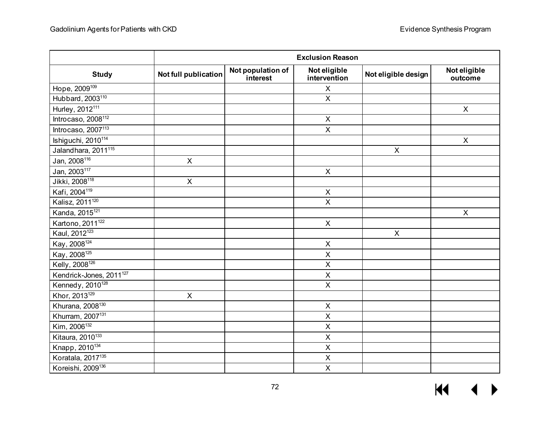|                                     | <b>Exclusion Reason</b> |                               |                              |                     |                         |
|-------------------------------------|-------------------------|-------------------------------|------------------------------|---------------------|-------------------------|
| <b>Study</b>                        | Not full publication    | Not population of<br>interest | Not eligible<br>intervention | Not eligible design | Not eligible<br>outcome |
| Hope, 2009 <sup>109</sup>           |                         |                               | X                            |                     |                         |
| Hubbard, 2003 <sup>110</sup>        |                         |                               | $\mathsf X$                  |                     |                         |
| Hurley, 2012 <sup>111</sup>         |                         |                               |                              |                     | $\mathsf{X}$            |
| Introcaso, 2008 <sup>112</sup>      |                         |                               | $\mathsf X$                  |                     |                         |
| Introcaso, $2007^{113}$             |                         |                               | $\mathsf{X}$                 |                     |                         |
| Ishiguchi, 2010 <sup>114</sup>      |                         |                               |                              |                     | $\mathsf{X}$            |
| Jalandhara, 2011 <sup>115</sup>     |                         |                               |                              | $\pmb{\mathsf{X}}$  |                         |
| Jan, 2008 <sup>116</sup>            | $\pmb{\times}$          |                               |                              |                     |                         |
| Jan, 2003 <sup>117</sup>            |                         |                               | $\pmb{\times}$               |                     |                         |
| Jikki, 2008 <sup>118</sup>          | $\overline{X}$          |                               |                              |                     |                         |
| Kafi, 2004 <sup>119</sup>           |                         |                               | $\mathsf X$                  |                     |                         |
| Kalisz, 2011 <sup>120</sup>         |                         |                               | $\mathsf X$                  |                     |                         |
| Kanda, 2015 <sup>121</sup>          |                         |                               |                              |                     | $\mathsf{X}$            |
| Kartono, 2011 <sup>122</sup>        |                         |                               | $\mathsf X$                  |                     |                         |
| Kaul, 2012 <sup>123</sup>           |                         |                               |                              | $\mathsf{X}$        |                         |
| Kay, 2008 <sup>124</sup>            |                         |                               | $\sf X$                      |                     |                         |
| Kay, 2008 <sup>125</sup>            |                         |                               | X                            |                     |                         |
| Kelly, 2008 <sup>126</sup>          |                         |                               | $\overline{X}$               |                     |                         |
| Kendrick-Jones, 2011 <sup>127</sup> |                         |                               | $\mathsf X$                  |                     |                         |
| Kennedy, 2010 <sup>128</sup>        |                         |                               | $\mathsf{X}$                 |                     |                         |
| Khor, 2013 <sup>129</sup>           | $\pmb{\times}$          |                               |                              |                     |                         |
| Khurana, 2008 <sup>130</sup>        |                         |                               | X                            |                     |                         |
| Khurram, 2007 <sup>131</sup>        |                         |                               | $\overline{X}$               |                     |                         |
| Kim, 2006 <sup>132</sup>            |                         |                               | $\sf X$                      |                     |                         |
| Kitaura, $2010^{133}$               |                         |                               | $\sf X$                      |                     |                         |
| Knapp, 2010 <sup>134</sup>          |                         |                               | $\overline{X}$               |                     |                         |
| Koratala, 2017 <sup>135</sup>       |                         |                               | $\mathsf X$                  |                     |                         |
| Koreishi, 2009 <sup>136</sup>       |                         |                               | $\overline{X}$               |                     |                         |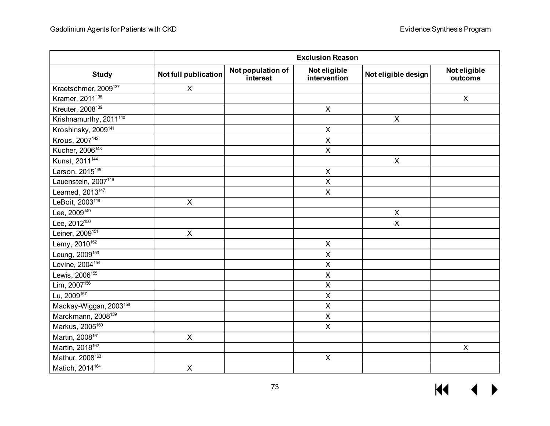|                                    | <b>Exclusion Reason</b> |                               |                              |                     |                           |  |
|------------------------------------|-------------------------|-------------------------------|------------------------------|---------------------|---------------------------|--|
| <b>Study</b>                       | Not full publication    | Not population of<br>interest | Not eligible<br>intervention | Not eligible design | Not eligible<br>outcome   |  |
| Kraetschmer, 2009 <sup>137</sup>   | $\pmb{\times}$          |                               |                              |                     |                           |  |
| Kramer, 2011 <sup>138</sup>        |                         |                               |                              |                     | $\pmb{\times}$            |  |
| Kreuter, 2008 <sup>139</sup>       |                         |                               | $\mathsf{X}$                 |                     |                           |  |
| Krishnamurthy, 2011 <sup>140</sup> |                         |                               |                              | $\pmb{\times}$      |                           |  |
| Kroshinsky, 2009 <sup>141</sup>    |                         |                               | $\mathsf X$                  |                     |                           |  |
| Krous, 2007 <sup>142</sup>         |                         |                               | $\mathsf X$                  |                     |                           |  |
| Kucher, 2006 <sup>143</sup>        |                         |                               | $\pmb{\times}$               |                     |                           |  |
| Kunst, 2011 <sup>144</sup>         |                         |                               |                              | $\pmb{\times}$      |                           |  |
| Larson, 2015 <sup>145</sup>        |                         |                               | $\mathsf X$                  |                     |                           |  |
| Lauenstein, 2007 <sup>146</sup>    |                         |                               | $\overline{\mathsf{x}}$      |                     |                           |  |
| Learned, 2013 <sup>147</sup>       |                         |                               | $\mathsf X$                  |                     |                           |  |
| LeBoit, 2003 <sup>148</sup>        | $\pmb{\times}$          |                               |                              |                     |                           |  |
| Lee, $2009^{149}$                  |                         |                               |                              | $\mathsf{X}$        |                           |  |
| Lee, 2012 <sup>150</sup>           |                         |                               |                              | $\mathsf{X}$        |                           |  |
| Leiner, 2009 <sup>151</sup>        | $\mathsf{X}$            |                               |                              |                     |                           |  |
| Lemy, $2010^{152}$                 |                         |                               | $\sf X$                      |                     |                           |  |
| Leung, 2009 <sup>153</sup>         |                         |                               | X                            |                     |                           |  |
| Levine, 2004 <sup>154</sup>        |                         |                               | $\overline{X}$               |                     |                           |  |
| Lewis, 2006 <sup>155</sup>         |                         |                               | $\mathsf X$                  |                     |                           |  |
| $Lim, 2007^{156}$                  |                         |                               | $\mathsf{X}$                 |                     |                           |  |
| Lu, 2009 <sup>157</sup>            |                         |                               | $\pmb{\times}$               |                     |                           |  |
| Mackay-Wiggan, 2003 <sup>158</sup> |                         |                               | X                            |                     |                           |  |
| Marckmann, 2008 <sup>159</sup>     |                         |                               | $\overline{X}$               |                     |                           |  |
| Markus, 2005 <sup>160</sup>        |                         |                               | $\mathsf X$                  |                     |                           |  |
| Martin, 2008 <sup>161</sup>        | $\pmb{\times}$          |                               |                              |                     |                           |  |
| Martin, 2018 <sup>162</sup>        |                         |                               |                              |                     | $\boldsymbol{\mathsf{X}}$ |  |
| Mathur, 2008 <sup>163</sup>        |                         |                               | $\mathsf{X}$                 |                     |                           |  |
| Matich, 2014 <sup>164</sup>        | $\overline{\mathsf{x}}$ |                               |                              |                     |                           |  |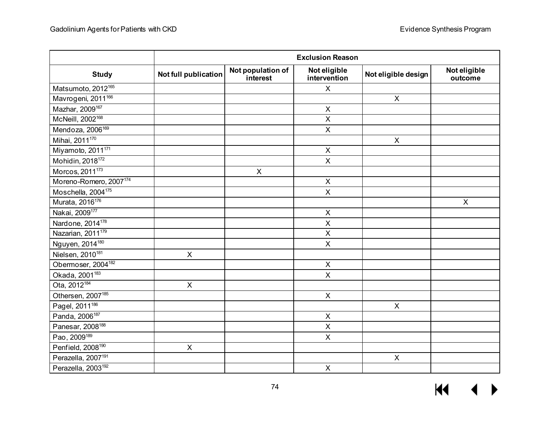|                                    | <b>Exclusion Reason</b> |                               |                              |                     |                         |
|------------------------------------|-------------------------|-------------------------------|------------------------------|---------------------|-------------------------|
| <b>Study</b>                       | Not full publication    | Not population of<br>interest | Not eligible<br>intervention | Not eligible design | Not eligible<br>outcome |
| Matsumoto, 2012 <sup>165</sup>     |                         |                               | $\mathsf{X}$                 |                     |                         |
| Mavrogeni, 2011 <sup>166</sup>     |                         |                               |                              | $\mathsf{X}$        |                         |
| Mazhar, 2009 <sup>167</sup>        |                         |                               | $\pmb{\times}$               |                     |                         |
| McNeill, 2002 <sup>168</sup>       |                         |                               | $\overline{X}$               |                     |                         |
| Mendoza, 2006 <sup>169</sup>       |                         |                               | $\overline{\mathsf{X}}$      |                     |                         |
| Mihai, 2011 <sup>170</sup>         |                         |                               |                              | $\pmb{\times}$      |                         |
| Miyamoto, 2011 <sup>171</sup>      |                         |                               | $\sf X$                      |                     |                         |
| Mohidin, 2018 <sup>172</sup>       |                         |                               | $\pmb{\times}$               |                     |                         |
| Morcos, 2011 <sup>173</sup>        |                         | $\mathsf{X}$                  |                              |                     |                         |
| Moreno-Romero, 2007 <sup>174</sup> |                         |                               | $\pmb{\times}$               |                     |                         |
| Moschella, 2004 <sup>175</sup>     |                         |                               | $\pmb{\times}$               |                     |                         |
| Murata, 2016 <sup>176</sup>        |                         |                               |                              |                     | $\mathsf{X}$            |
| Nakai, 2009 <sup>177</sup>         |                         |                               | $\sf X$                      |                     |                         |
| Nardone, 2014 <sup>178</sup>       |                         |                               | $\sf X$                      |                     |                         |
| Nazarian, 2011 <sup>179</sup>      |                         |                               | $\mathsf X$                  |                     |                         |
| Nguyen, 2014 <sup>180</sup>        |                         |                               | $\sf X$                      |                     |                         |
| Nielsen, 2010 <sup>181</sup>       | $\pmb{\times}$          |                               |                              |                     |                         |
| Obermoser, 2004 <sup>182</sup>     |                         |                               | $\sf X$                      |                     |                         |
| Okada, 2001 <sup>183</sup>         |                         |                               | $\pmb{\times}$               |                     |                         |
| Ota, 2012 <sup>184</sup>           | $\mathsf{X}$            |                               |                              |                     |                         |
| Othersen, 2007 <sup>185</sup>      |                         |                               | $\overline{\mathsf{x}}$      |                     |                         |
| Pagel, 2011 <sup>186</sup>         |                         |                               |                              | $\mathsf{X}$        |                         |
| Panda, 2006 <sup>187</sup>         |                         |                               | $\pmb{\times}$               |                     |                         |
| Panesar, 2008 <sup>188</sup>       |                         |                               | $\pmb{\times}$               |                     |                         |
| Pao, 2009 <sup>189</sup>           |                         |                               | $\mathsf{X}$                 |                     |                         |
| Penfield, 2008 <sup>190</sup>      | $\mathsf{X}$            |                               |                              |                     |                         |
| Perazella, 2007 <sup>191</sup>     |                         |                               |                              | $\pmb{\times}$      |                         |
| Perazella, 2003 <sup>192</sup>     |                         |                               | $\overline{\mathsf{x}}$      |                     |                         |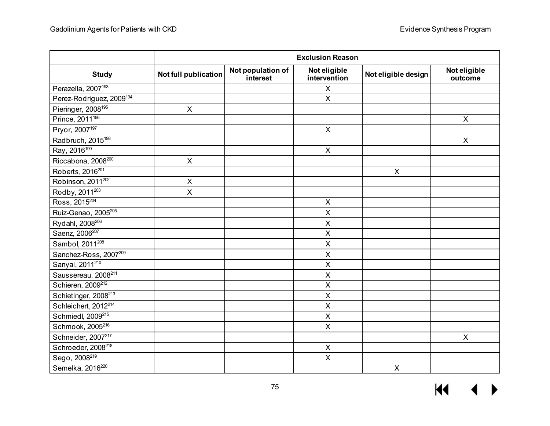|                                      | <b>Exclusion Reason</b> |                               |                              |                     |                         |
|--------------------------------------|-------------------------|-------------------------------|------------------------------|---------------------|-------------------------|
| <b>Study</b>                         | Not full publication    | Not population of<br>interest | Not eligible<br>intervention | Not eligible design | Not eligible<br>outcome |
| Perazella, 2007 <sup>193</sup>       |                         |                               | $\mathsf{X}$                 |                     |                         |
| Perez-Rodriguez, 2009 <sup>194</sup> |                         |                               | $\mathsf X$                  |                     |                         |
| Pieringer, 2008 <sup>195</sup>       | $\mathsf{X}$            |                               |                              |                     |                         |
| Prince, 2011 <sup>196</sup>          |                         |                               |                              |                     | X                       |
| Pryor, 2007 <sup>197</sup>           |                         |                               | $\mathsf{X}$                 |                     |                         |
| Radbruch, 2015 <sup>198</sup>        |                         |                               |                              |                     | $\mathsf{X}$            |
| Ray, 2016 <sup>199</sup>             |                         |                               | $\pmb{\times}$               |                     |                         |
| Riccabona, 2008 <sup>200</sup>       | $\pmb{\times}$          |                               |                              |                     |                         |
| Roberts, 2016 <sup>201</sup>         |                         |                               |                              | $\mathsf{X}$        |                         |
| Robinson, 2011 <sup>202</sup>        | $\pmb{\times}$          |                               |                              |                     |                         |
| Rodby, 2011 <sup>203</sup>           | $\mathsf X$             |                               |                              |                     |                         |
| Ross, 2015 <sup>204</sup>            |                         |                               | $\mathsf X$                  |                     |                         |
| Ruiz-Genao, 2005 <sup>205</sup>      |                         |                               | $\mathsf X$                  |                     |                         |
| Rydahl, 2008 <sup>206</sup>          |                         |                               | $\mathsf X$                  |                     |                         |
| Saenz, 2006 <sup>207</sup>           |                         |                               | $\mathsf X$                  |                     |                         |
| Sambol, 2011 <sup>208</sup>          |                         |                               | $\mathsf{X}$                 |                     |                         |
| Sanchez-Ross, 2007209                |                         |                               | X                            |                     |                         |
| Sanyal, 2011 <sup>210</sup>          |                         |                               | $\sf X$                      |                     |                         |
| Saussereau, 2008 <sup>211</sup>      |                         |                               | $\mathsf X$                  |                     |                         |
| Schieren, 2009 <sup>212</sup>        |                         |                               | $\mathsf X$                  |                     |                         |
| Schietinger, 2008 <sup>213</sup>     |                         |                               | $\overline{X}$               |                     |                         |
| Schleichert, 2012 <sup>214</sup>     |                         |                               | $\mathsf X$                  |                     |                         |
| Schmiedl, 2009 <sup>215</sup>        |                         |                               | $\sf X$                      |                     |                         |
| Schmook, 2005 <sup>216</sup>         |                         |                               | $\mathsf X$                  |                     |                         |
| Schneider, 2007 <sup>217</sup>       |                         |                               |                              |                     | $\mathsf{X}$            |
| Schroeder, 2008 <sup>218</sup>       |                         |                               | $\mathsf X$                  |                     |                         |
| Sego, 2008 <sup>219</sup>            |                         |                               | $\mathsf X$                  |                     |                         |
| Semelka, 2016 <sup>220</sup>         |                         |                               |                              | $\mathsf{X}$        |                         |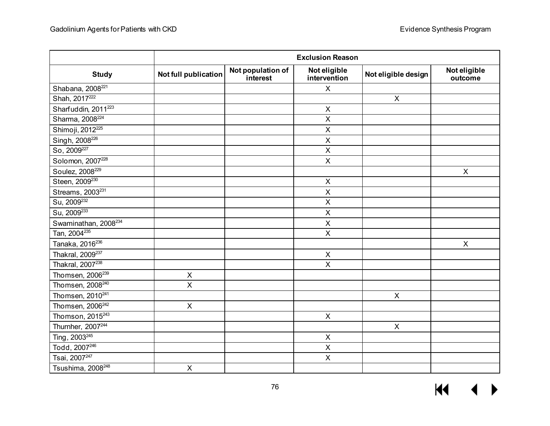|                                  |                         |                               | <b>Exclusion Reason</b>      |                     |                         |
|----------------------------------|-------------------------|-------------------------------|------------------------------|---------------------|-------------------------|
| <b>Study</b>                     | Not full publication    | Not population of<br>interest | Not eligible<br>intervention | Not eligible design | Not eligible<br>outcome |
| Shabana, 2008 <sup>221</sup>     |                         |                               | $\mathsf{X}$                 |                     |                         |
| Shah, 2017 <sup>222</sup>        |                         |                               |                              | $\mathsf{X}$        |                         |
| Sharfuddin, 2011 <sup>223</sup>  |                         |                               | $\mathsf X$                  |                     |                         |
| Sharma, 2008 <sup>224</sup>      |                         |                               | $\overline{\mathsf{x}}$      |                     |                         |
| Shimoji, 2012 <sup>225</sup>     |                         |                               | $\pmb{\times}$               |                     |                         |
| Singh, 2008 <sup>226</sup>       |                         |                               | $\mathsf X$                  |                     |                         |
| So, 2009 <sup>227</sup>          |                         |                               | $\sf X$                      |                     |                         |
| Solomon, 2007 <sup>228</sup>     |                         |                               | $\pmb{\times}$               |                     |                         |
| Soulez, 2008 <sup>229</sup>      |                         |                               |                              |                     | X                       |
| Steen, 2009 <sup>230</sup>       |                         |                               | $\sf X$                      |                     |                         |
| Streams, 2003 <sup>231</sup>     |                         |                               | $\mathsf X$                  |                     |                         |
| Su, 2009 <sup>232</sup>          |                         |                               | $\pmb{\times}$               |                     |                         |
| Su, 2009 <sup>233</sup>          |                         |                               | $\sf X$                      |                     |                         |
| Swaminathan, 2008 <sup>234</sup> |                         |                               | $\sf X$                      |                     |                         |
| Tan, 2004 <sup>235</sup>         |                         |                               | $\overline{\mathsf{X}}$      |                     |                         |
| Tanaka, 2016 <sup>236</sup>      |                         |                               |                              |                     | $\mathsf{X}$            |
| Thakral, 2009 <sup>237</sup>     |                         |                               | X                            |                     |                         |
| Thakral, 2007 <sup>238</sup>     |                         |                               | $\overline{X}$               |                     |                         |
| Thomsen, 2006 <sup>239</sup>     | $\pmb{\times}$          |                               |                              |                     |                         |
| Thomsen, 2008 <sup>240</sup>     | $\overline{\mathsf{x}}$ |                               |                              |                     |                         |
| Thomsen, 2010 <sup>241</sup>     |                         |                               |                              | $\pmb{\times}$      |                         |
| Thomsen, 2006 <sup>242</sup>     | $\pmb{\times}$          |                               |                              |                     |                         |
| Thomson, 2015 <sup>243</sup>     |                         |                               | $\mathsf X$                  |                     |                         |
| Thurnher, 2007 <sup>244</sup>    |                         |                               |                              | $\mathsf{X}$        |                         |
| Ting, 2003 <sup>245</sup>        |                         |                               | $\sf X$                      |                     |                         |
| Todd, 2007 <sup>246</sup>        |                         |                               | $\overline{X}$               |                     |                         |
| Tsai, 2007 <sup>247</sup>        |                         |                               | $\mathsf X$                  |                     |                         |
| Tsushima, 2008 <sup>248</sup>    | $\overline{\mathsf{x}}$ |                               |                              |                     |                         |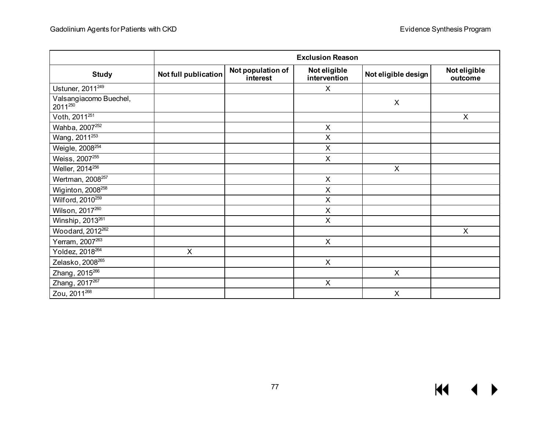|                                   |                             |                               | <b>Exclusion Reason</b>      |                           |                         |
|-----------------------------------|-----------------------------|-------------------------------|------------------------------|---------------------------|-------------------------|
| <b>Study</b>                      | <b>Not full publication</b> | Not population of<br>interest | Not eligible<br>intervention | Not eligible design       | Not eligible<br>outcome |
| Ustuner, 2011 <sup>249</sup>      |                             |                               | X                            |                           |                         |
| Valsangiacomo Buechel,<br>2011250 |                             |                               |                              | X                         |                         |
| Voth, 2011 <sup>251</sup>         |                             |                               |                              |                           | X                       |
| Wahba, 2007 <sup>252</sup>        |                             |                               | X                            |                           |                         |
| Wang, 2011 <sup>253</sup>         |                             |                               | $\times$                     |                           |                         |
| Weigle, 2008 <sup>254</sup>       |                             |                               | X                            |                           |                         |
| Weiss, 2007255                    |                             |                               | $\boldsymbol{\mathsf{X}}$    |                           |                         |
| Weller, 2014 <sup>256</sup>       |                             |                               |                              | X                         |                         |
| Wertman, 2008 <sup>257</sup>      |                             |                               | $\boldsymbol{\mathsf{X}}$    |                           |                         |
| Wiginton, 2008 <sup>258</sup>     |                             |                               | $\sf X$                      |                           |                         |
| Wilford, 2010 <sup>259</sup>      |                             |                               | X                            |                           |                         |
| Wilson, 2017260                   |                             |                               | X                            |                           |                         |
| Winship, 2013 <sup>261</sup>      |                             |                               | $\pmb{\times}$               |                           |                         |
| Woodard, 2012 <sup>262</sup>      |                             |                               |                              |                           | X                       |
| Yerram, 2007 <sup>263</sup>       |                             |                               | X                            |                           |                         |
| Yoldez, 2018 <sup>264</sup>       | X                           |                               |                              |                           |                         |
| Zelasko, 2008 <sup>265</sup>      |                             |                               | X                            |                           |                         |
| Zhang, 2015 <sup>266</sup>        |                             |                               |                              | $\boldsymbol{\mathsf{X}}$ |                         |
| Zhang, 2017267                    |                             |                               | $\sf X$                      |                           |                         |
| Zou, 2011 <sup>268</sup>          |                             |                               |                              | $\pmb{\times}$            |                         |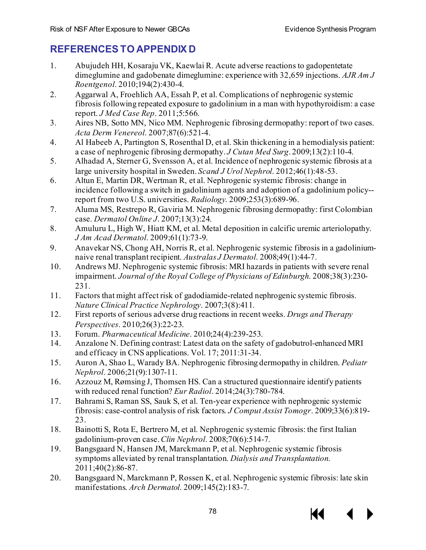## **REFERENCES TO APPENDIX D**

- 1. Abujudeh HH, Kosaraju VK, Kaewlai R. Acute adverse reactions to gadopentetate dimeglumine and gadobenate dimeglumine: experience with 32,659 injections. *AJR Am J Roentgenol*. 2010;194(2):430-4.
- 2. Aggarwal A, Froehlich AA, Essah P, et al. Complications of nephrogenic systemic fibrosis following repeated exposure to gadolinium in a man with hypothyroidism: a case report. *J Med Case Rep*. 2011;5:566.
- 3. Aires NB, Sotto MN, Nico MM. Nephrogenic fibrosing dermopathy: report of two cases. *Acta Derm Venereol*. 2007;87(6):521-4.
- 4. Al Habeeb A, Partington S, Rosenthal D, et al. Skin thickening in a hemodialysis patient: a case of nephrogenic fibrosing dermopathy. *J Cutan Med Surg*. 2009;13(2):110-4.
- 5. Alhadad A, Sterner G, Svensson A, et al. Incidence of nephrogenic systemic fibrosis at a large university hospital in Sweden. *Scand J Urol Nephrol*. 2012;46(1):48-53.
- 6. Altun E, Martin DR, Wertman R, et al. Nephrogenic systemic fibrosis: change in incidence following a switch in gadolinium agents and adoption of a gadolinium policy- report from two U.S. universities. *Radiology*. 2009;253(3):689-96.
- 7. Aluma MS, Restrepo R, Gaviria M. Nephrogenic fibrosing dermopathy: first Colombian case. *Dermatol Online J*. 2007;13(3):24.
- 8. Amuluru L, High W, Hiatt KM, et al. Metal deposition in calcific uremic arteriolopathy. *J Am Acad Dermatol*. 2009;61(1):73-9.
- 9. Anavekar NS, Chong AH, Norris R, et al. Nephrogenic systemic fibrosis in a gadoliniumnaive renal transplant recipient. *Australas J Dermatol*. 2008;49(1):44-7.
- 10. Andrews MJ. Nephrogenic systemic fibrosis: MRI hazards in patients with severe renal impairment. *Journal of the Royal College of Physicians of Edinburgh*. 2008;38(3):230- 231.
- 11. Factors that might affect risk of gadodiamide-related nephrogenic systemic fibrosis. *Nature Clinical Practice Nephrology*. 2007;3(8):411.
- 12. First reports of serious adverse drug reactions in recent weeks. *Drugs and Therapy Perspectives*. 2010;26(3):22-23.
- 13. Forum. *Pharmaceutical Medicine*. 2010;24(4):239-253.
- 14. Anzalone N. Defining contrast: Latest data on the safety of gadobutrol-enhanced MRI and efficacy in CNS applications. Vol. 17; 2011:31-34.
- 15. Auron A, Shao L, Warady BA. Nephrogenic fibrosing dermopathy in children. *Pediatr Nephrol*. 2006;21(9):1307-11.
- 16. Azzouz M, Rømsing J, Thomsen HS. Can a structured questionnaire identify patients with reduced renal function? *Eur Radiol*. 2014;24(3):780-784.
- 17. Bahrami S, Raman SS, Sauk S, et al. Ten-year experience with nephrogenic systemic fibrosis: case-control analysis of risk factors. *J Comput Assist Tomogr*. 2009;33(6):819- 23.
- 18. Bainotti S, Rota E, Bertrero M, et al. Nephrogenic systemic fibrosis: the first Italian gadolinium-proven case. *Clin Nephrol*. 2008;70(6):514-7.
- 19. Bangsgaard N, Hansen JM, Marckmann P, et al. Nephrogenic systemic fibrosis symptoms alleviated by renal transplantation. *Dialysis and Transplantation*. 2011;40(2):86-87.
- 20. Bangsgaard N, Marckmann P, Rossen K, et al. Nephrogenic systemic fibrosis: late skin manifestations. *Arch Dermatol*. 2009;145(2):183-7.

KK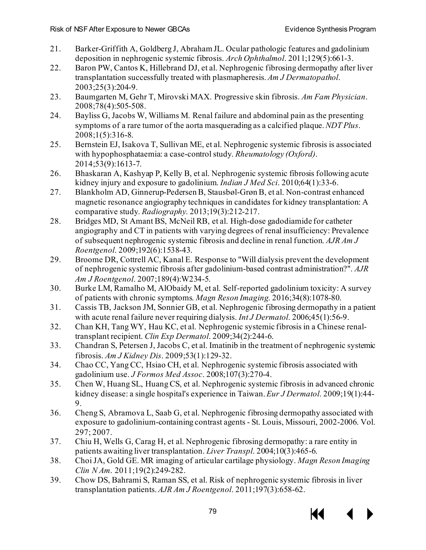- 21. Barker-Griffith A, Goldberg J, Abraham JL. Ocular pathologic features and gadolinium deposition in nephrogenic systemic fibrosis. *Arch Ophthalmol*. 2011;129(5):661-3.
- 22. Baron PW, Cantos K, Hillebrand DJ, et al. Nephrogenic fibrosing dermopathy after liver transplantation successfully treated with plasmapheresis. *Am J Dermatopathol*. 2003;25(3):204-9.
- 23. Baumgarten M, Gehr T, Mirovski MAX. Progressive skin fibrosis. *Am Fam Physician*. 2008;78(4):505-508.
- 24. Bayliss G, Jacobs W, Williams M. Renal failure and abdominal pain as the presenting symptoms of a rare tumor of the aorta masquerading as a calcified plaque. *NDT Plus*. 2008;1(5):316-8.
- 25. Bernstein EJ, Isakova T, Sullivan ME, et al. Nephrogenic systemic fibrosis is associated with hypophosphataemia: a case-control study. *Rheumatology (Oxford)*. 2014;53(9):1613-7.
- 26. Bhaskaran A, Kashyap P, Kelly B, et al. Nephrogenic systemic fibrosis following acute kidney injury and exposure to gadolinium. *Indian J Med Sci*. 2010;64(1):33-6.
- 27. Blankholm AD, Ginnerup-Pedersen B, Stausbøl-Grøn B, et al. Non-contrast enhanced magnetic resonance angiography techniques in candidates for kidney transplantation: A comparative study. *Radiography*. 2013;19(3):212-217.
- 28. Bridges MD, St Amant BS, McNeil RB, et al. High-dose gadodiamide for catheter angiography and CT in patients with varying degrees of renal insufficiency: Prevalence of subsequent nephrogenic systemic fibrosis and decline in renal function. *AJR Am J Roentgenol*. 2009;192(6):1538-43.
- 29. Broome DR, Cottrell AC, Kanal E. Response to "Will dialysis prevent the development of nephrogenic systemic fibrosis after gadolinium-based contrast administration?". *AJR Am J Roentgenol*. 2007;189(4):W234-5.
- 30. Burke LM, Ramalho M, AlObaidy M, et al. Self-reported gadolinium toxicity: A survey of patients with chronic symptoms. *Magn Reson Imaging*. 2016;34(8):1078-80.
- 31. Cassis TB, Jackson JM, Sonnier GB, et al. Nephrogenic fibrosing dermopathy in a patient with acute renal failure never requiring dialysis. *Int J Dermatol*. 2006;45(1):56-9.
- 32. Chan KH, Tang WY, Hau KC, et al. Nephrogenic systemic fibrosis in a Chinese renaltransplant recipient. *Clin Exp Dermatol*. 2009;34(2):244-6.
- 33. Chandran S, Petersen J, Jacobs C, et al. Imatinib in the treatment of nephrogenic systemic fibrosis. *Am J Kidney Dis*. 2009;53(1):129-32.
- 34. Chao CC, Yang CC, Hsiao CH, et al. Nephrogenic systemic fibrosis associated with gadolinium use. *J Formos Med Assoc*. 2008;107(3):270-4.
- 35. Chen W, Huang SL, Huang CS, et al. Nephrogenic systemic fibrosis in advanced chronic kidney disease: a single hospital's experience in Taiwan. *Eur J Dermatol*. 2009;19(1):44- 9.
- 36. Cheng S, Abramova L, Saab G, et al. Nephrogenic fibrosing dermopathy associated with exposure to gadolinium-containing contrast agents - St. Louis, Missouri, 2002-2006. Vol. 297; 2007.
- 37. Chiu H, Wells G, Carag H, et al. Nephrogenic fibrosing dermopathy: a rare entity in patients awaiting liver transplantation. *Liver Transpl*. 2004;10(3):465-6.
- 38. Choi JA, Gold GE. MR imaging of articular cartilage physiology. *Magn Reson Imaging Clin N Am*. 2011;19(2):249-282.
- 39. Chow DS, Bahrami S, Raman SS, et al. Risk of nephrogenic systemic fibrosis in liver transplantation patients. *AJR Am J Roentgenol*. 2011;197(3):658-62.

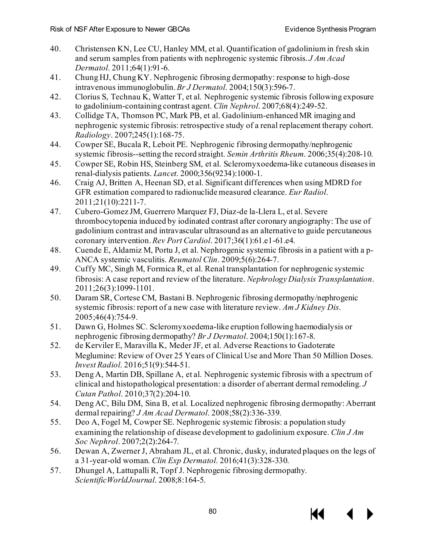- 40. Christensen KN, Lee CU, Hanley MM, et al. Quantification of gadolinium in fresh skin and serum samples from patients with nephrogenic systemic fibrosis. *J Am Acad Dermatol*. 2011;64(1):91-6.
- 41. Chung HJ, Chung KY. Nephrogenic fibrosing dermopathy: response to high-dose intravenous immunoglobulin. *Br J Dermatol*. 2004;150(3):596-7.
- 42. Clorius S, Technau K, Watter T, et al. Nephrogenic systemic fibrosis following exposure to gadolinium-containing contrast agent. *Clin Nephrol*. 2007;68(4):249-52.
- 43. Collidge TA, Thomson PC, Mark PB, et al. Gadolinium-enhanced MR imaging and nephrogenic systemic fibrosis: retrospective study of a renal replacement therapy cohort. *Radiology*. 2007;245(1):168-75.
- 44. Cowper SE, Bucala R, Leboit PE. Nephrogenic fibrosing dermopathy/nephrogenic systemic fibrosis--setting the record straight. *Semin Arthritis Rheum*. 2006;35(4):208-10.
- 45. Cowper SE, Robin HS, Steinberg SM, et al. Scleromyxoedema-like cutaneous diseases in renal-dialysis patients. *Lancet*. 2000;356(9234):1000-1.
- 46. Craig AJ, Britten A, Heenan SD, et al. Significant differences when using MDRD for GFR estimation compared to radionuclide measured clearance. *Eur Radiol*. 2011;21(10):2211-7.
- 47. Cubero-Gomez JM, Guerrero Marquez FJ, Diaz-de la-Llera L, et al. Severe thrombocytopenia induced by iodinated contrast after coronary angiography: The use of gadolinium contrast and intravascular ultrasound as an alternative to guide percutaneous coronary intervention. *Rev Port Cardiol*. 2017;36(1):61.e1-61.e4.
- 48. Cuende E, Aldamiz M, Portu J, et al. Nephrogenic systemic fibrosis in a patient with a p-ANCA systemic vasculitis. *Reumatol Clin*. 2009;5(6):264-7.
- 49. Cuffy MC, Singh M, Formica R, et al. Renal transplantation for nephrogenic systemic fibrosis: A case report and review of the literature. *Nephrology Dialysis Transplantation*. 2011;26(3):1099-1101.
- 50. Daram SR, Cortese CM, Bastani B. Nephrogenic fibrosing dermopathy/nephrogenic systemic fibrosis: report of a new case with literature review. *Am J Kidney Dis*. 2005;46(4):754-9.
- 51. Dawn G, Holmes SC. Scleromyxoedema-like eruption following haemodialysis or nephrogenic fibrosing dermopathy? *Br J Dermatol*. 2004;150(1):167-8.
- 52. de Kerviler E, Maravilla K, Meder JF, et al. Adverse Reactions to Gadoterate Meglumine: Review of Over 25 Years of Clinical Use and More Than 50 Million Doses. *Invest Radiol*. 2016;51(9):544-51.
- 53. Deng A, Martin DB, Spillane A, et al. Nephrogenic systemic fibrosis with a spectrum of clinical and histopathological presentation: a disorder of aberrant dermal remodeling. *J Cutan Pathol*. 2010;37(2):204-10.
- 54. Deng AC, Bilu DM, Sina B, et al. Localized nephrogenic fibrosing dermopathy: Aberrant dermal repairing? *J Am Acad Dermatol*. 2008;58(2):336-339.
- 55. Deo A, Fogel M, Cowper SE. Nephrogenic systemic fibrosis: a population study examining the relationship of disease development to gadolinium exposure. *Clin J Am Soc Nephrol*. 2007;2(2):264-7.
- 56. Dewan A, Zwerner J, Abraham JL, et al. Chronic, dusky, indurated plaques on the legs of a 31-year-old woman. *Clin Exp Dermatol*. 2016;41(3):328-330.
- 57. Dhungel A, Lattupalli R, Topf J. Nephrogenic fibrosing dermopathy. *ScientificWorldJournal*. 2008;8:164-5.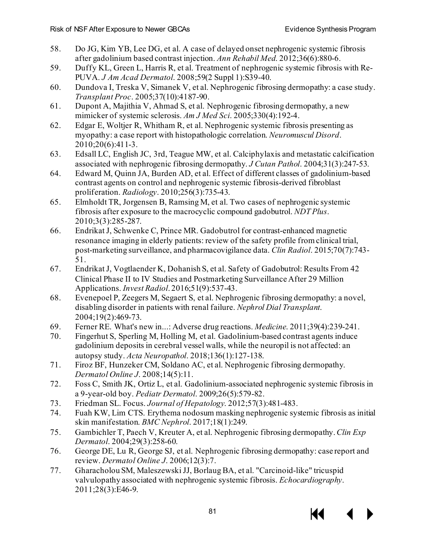- 58. Do JG, Kim YB, Lee DG, et al. A case of delayed onset nephrogenic systemic fibrosis after gadolinium based contrast injection. *Ann Rehabil Med*. 2012;36(6):880-6.
- 59. Duffy KL, Green L, Harris R, et al. Treatment of nephrogenic systemic fibrosis with Re-PUVA. *J Am Acad Dermatol*. 2008;59(2 Suppl 1):S39-40.
- 60. Dundova I, Treska V, Simanek V, et al. Nephrogenic fibrosing dermopathy: a case study. *Transplant Proc*. 2005;37(10):4187-90.
- 61. Dupont A, Majithia V, Ahmad S, et al. Nephrogenic fibrosing dermopathy, a new mimicker of systemic sclerosis. *Am J Med Sci*. 2005;330(4):192-4.
- 62. Edgar E, Woltjer R, Whitham R, et al. Nephrogenic systemic fibrosis presenting as myopathy: a case report with histopathologic correlation. *Neuromuscul Disord*. 2010;20(6):411-3.
- 63. Edsall LC, English JC, 3rd, Teague MW, et al. Calciphylaxis and metastatic calcification associated with nephrogenic fibrosing dermopathy. *J Cutan Pathol*. 2004;31(3):247-53.
- 64. Edward M, Quinn JA, Burden AD, et al. Effect of different classes of gadolinium-based contrast agents on control and nephrogenic systemic fibrosis-derived fibroblast proliferation. *Radiology*. 2010;256(3):735-43.
- 65. Elmholdt TR, Jorgensen B, Ramsing M, et al. Two cases of nephrogenic systemic fibrosis after exposure to the macrocyclic compound gadobutrol. *NDT Plus*. 2010;3(3):285-287.
- 66. Endrikat J, Schwenke C, Prince MR. Gadobutrol for contrast-enhanced magnetic resonance imaging in elderly patients: review of the safety profile from clinical trial, post-marketing surveillance, and pharmacovigilance data. *Clin Radiol*. 2015;70(7):743- 51.
- 67. Endrikat J, Vogtlaender K, Dohanish S, et al. Safety of Gadobutrol: Results From 42 Clinical Phase II to IV Studies and Postmarketing Surveillance After 29 Million Applications. *Invest Radiol*. 2016;51(9):537-43.
- 68. Evenepoel P, Zeegers M, Segaert S, et al. Nephrogenic fibrosing dermopathy: a novel, disabling disorder in patients with renal failure. *Nephrol Dial Transplant*. 2004;19(2):469-73.
- 69. Ferner RE. What's new in...: Adverse drug reactions. *Medicine*. 2011;39(4):239-241.
- 70. Fingerhut S, Sperling M, Holling M, et al. Gadolinium-based contrast agents induce gadolinium deposits in cerebral vessel walls, while the neuropil is not affected: an autopsy study. *Acta Neuropathol*. 2018;136(1):127-138.
- 71. Firoz BF, Hunzeker CM, Soldano AC, et al. Nephrogenic fibrosing dermopathy. *Dermatol Online J*. 2008;14(5):11.
- 72. Foss C, Smith JK, Ortiz L, et al. Gadolinium-associated nephrogenic systemic fibrosis in a 9-year-old boy. *Pediatr Dermatol*. 2009;26(5):579-82.
- 73. Friedman SL. Focus. *Journal of Hepatology*. 2012;57(3):481-483.
- 74. Fuah KW, Lim CTS. Erythema nodosum masking nephrogenic systemic fibrosis as initial skin manifestation. *BMC Nephrol*. 2017;18(1):249.
- 75. Gambichler T, Paech V, Kreuter A, et al. Nephrogenic fibrosing dermopathy. *Clin Exp Dermatol*. 2004;29(3):258-60.
- 76. George DE, Lu R, George SJ, et al. Nephrogenic fibrosing dermopathy: case report and review. *Dermatol Online J*. 2006;12(3):7.
- 77. Gharacholou SM, Maleszewski JJ, Borlaug BA, et al. "Carcinoid-like" tricuspid valvulopathy associated with nephrogenic systemic fibrosis. *Echocardiography*. 2011;28(3):E46-9.

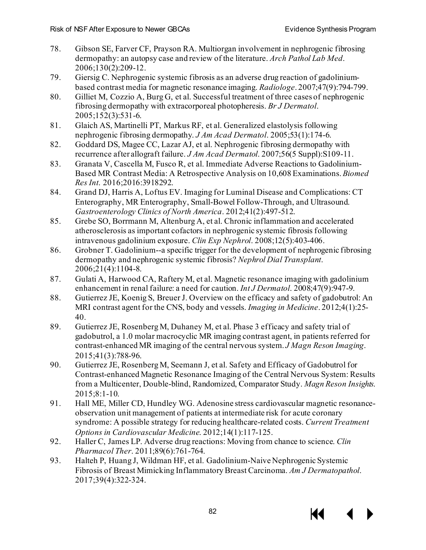- 78. Gibson SE, Farver CF, Prayson RA. Multiorgan involvement in nephrogenic fibrosing dermopathy: an autopsy case and review of the literature. *Arch Pathol Lab Med*. 2006;130(2):209-12.
- 79. Giersig C. Nephrogenic systemic fibrosis as an adverse drug reaction of gadoliniumbased contrast media for magnetic resonance imaging. *Radiologe*. 2007;47(9):794-799.
- 80. Gilliet M, Cozzio A, Burg G, et al. Successful treatment of three cases of nephrogenic fibrosing dermopathy with extracorporeal photopheresis. *Br J Dermatol*. 2005;152(3):531-6.
- 81. Glaich AS, Martinelli PT, Markus RF, et al. Generalized elastolysis following nephrogenic fibrosing dermopathy. *J Am Acad Dermatol*. 2005;53(1):174-6.
- 82. Goddard DS, Magee CC, Lazar AJ, et al. Nephrogenic fibrosing dermopathy with recurrence after allograft failure. *J Am Acad Dermatol*. 2007;56(5 Suppl):S109-11.
- 83. Granata V, Cascella M, Fusco R, et al. Immediate Adverse Reactions to Gadolinium-Based MR Contrast Media: A Retrospective Analysis on 10,608 Examinations. *Biomed Res Int*. 2016;2016:3918292.
- 84. Grand DJ, Harris A, Loftus EV. Imaging for Luminal Disease and Complications: CT Enterography, MR Enterography, Small-Bowel Follow-Through, and Ultrasound. *Gastroenterology Clinics of North America*. 2012;41(2):497-512.
- 85. Grebe SO, Borrmann M, Altenburg A, et al. Chronic inflammation and accelerated atherosclerosis as important cofactors in nephrogenic systemic fibrosis following intravenous gadolinium exposure. *Clin Exp Nephrol*. 2008;12(5):403-406.
- 86. Grobner T. Gadolinium--a specific trigger for the development of nephrogenic fibrosing dermopathy and nephrogenic systemic fibrosis? *Nephrol Dial Transplant*. 2006;21(4):1104-8.
- 87. Gulati A, Harwood CA, Raftery M, et al. Magnetic resonance imaging with gadolinium enhancement in renal failure: a need for caution. *Int J Dermatol*. 2008;47(9):947-9.
- 88. Gutierrez JE, Koenig S, Breuer J. Overview on the efficacy and safety of gadobutrol: An MRI contrast agent for the CNS, body and vessels. *Imaging in Medicine*. 2012;4(1):25- 40.
- 89. Gutierrez JE, Rosenberg M, Duhaney M, et al. Phase 3 efficacy and safety trial of gadobutrol, a 1.0 molar macrocyclic MR imaging contrast agent, in patients referred for contrast-enhanced MR imaging of the central nervous system. *J Magn Reson Imaging*. 2015;41(3):788-96.
- 90. Gutierrez JE, Rosenberg M, Seemann J, et al. Safety and Efficacy of Gadobutrol for Contrast-enhanced Magnetic Resonance Imaging of the Central Nervous System: Results from a Multicenter, Double-blind, Randomized, Comparator Study. *Magn Reson Insights*. 2015;8:1-10.
- 91. Hall ME, Miller CD, Hundley WG. Adenosine stress cardiovascular magnetic resonanceobservation unit management of patients at intermediate risk for acute coronary syndrome: A possible strategy for reducing healthcare-related costs. *Current Treatment Options in Cardiovascular Medicine*. 2012;14(1):117-125.
- 92. Haller C, James LP. Adverse drug reactions: Moving from chance to science. *Clin Pharmacol Ther*. 2011;89(6):761-764.
- 93. Halteh P, Huang J, Wildman HF, et al. Gadolinium-Naive Nephrogenic Systemic Fibrosis of Breast Mimicking Inflammatory Breast Carcinoma. *Am J Dermatopathol*. 2017;39(4):322-324.

КІ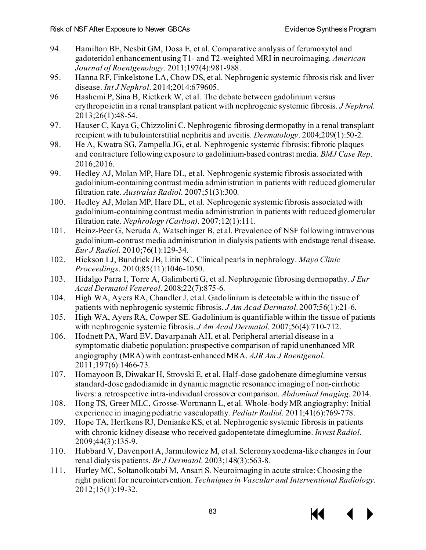- 94. Hamilton BE, Nesbit GM, Dosa E, et al. Comparative analysis of ferumoxytol and gadoteridol enhancement using T1- and T2-weighted MRI in neuroimaging. *American Journal of Roentgenology*. 2011;197(4):981-988.
- 95. Hanna RF, Finkelstone LA, Chow DS, et al. Nephrogenic systemic fibrosis risk and liver disease. *Int J Nephrol*. 2014;2014:679605.
- 96. Hashemi P, Sina B, Rietkerk W, et al. The debate between gadolinium versus erythropoietin in a renal transplant patient with nephrogenic systemic fibrosis. *J Nephrol*. 2013;26(1):48-54.
- 97. Hauser C, Kaya G, Chizzolini C. Nephrogenic fibrosing dermopathy in a renal transplant recipient with tubulointerstitial nephritis and uveitis. *Dermatology*. 2004;209(1):50-2.
- 98. He A, Kwatra SG, Zampella JG, et al. Nephrogenic systemic fibrosis: fibrotic plaques and contracture following exposure to gadolinium-based contrast media. *BMJ Case Rep*. 2016;2016.
- 99. Hedley AJ, Molan MP, Hare DL, et al. Nephrogenic systemic fibrosis associated with gadolinium-containing contrast media administration in patients with reduced glomerular filtration rate. *Australas Radiol*. 2007;51(3):300.
- 100. Hedley AJ, Molan MP, Hare DL, et al. Nephrogenic systemic fibrosis associated with gadolinium-containing contrast media administration in patients with reduced glomerular filtration rate. *Nephrology (Carlton)*. 2007;12(1):111.
- 101. Heinz-Peer G, Neruda A, Watschinger B, et al. Prevalence of NSF following intravenous gadolinium-contrast media administration in dialysis patients with endstage renal disease. *Eur J Radiol*. 2010;76(1):129-34.
- 102. Hickson LJ, Bundrick JB, Litin SC. Clinical pearls in nephrology. *Mayo Clinic Proceedings*. 2010;85(11):1046-1050.
- 103. Hidalgo Parra I, Torre A, Galimberti G, et al. Nephrogenic fibrosing dermopathy. *J Eur Acad Dermatol Venereol*. 2008;22(7):875-6.
- 104. High WA, Ayers RA, Chandler J, et al. Gadolinium is detectable within the tissue of patients with nephrogenic systemic fibrosis. *J Am Acad Dermatol*. 2007;56(1):21-6.
- 105. High WA, Ayers RA, Cowper SE. Gadolinium is quantifiable within the tissue of patients with nephrogenic systemic fibrosis. *J Am Acad Dermatol*. 2007;56(4):710-712.
- 106. Hodnett PA, Ward EV, Davarpanah AH, et al. Peripheral arterial disease in a symptomatic diabetic population: prospective comparison of rapid unenhanced MR angiography (MRA) with contrast-enhanced MRA. *AJR Am J Roentgenol*. 2011;197(6):1466-73.
- 107. Homayoon B, Diwakar H, Strovski E, et al. Half-dose gadobenate dimeglumine versus standard-dose gadodiamide in dynamic magnetic resonance imaging of non-cirrhotic livers: a retrospective intra-individual crossover comparison. *Abdominal Imaging*. 2014.
- 108. Hong TS, Greer MLC, Grosse-Wortmann L, et al. Whole-body MR angiography: Initial experience in imaging pediatric vasculopathy. *Pediatr Radiol*. 2011;41(6):769-778.
- 109. Hope TA, Herfkens RJ, Denianke KS, et al. Nephrogenic systemic fibrosis in patients with chronic kidney disease who received gadopentetate dimeglumine. *Invest Radiol*. 2009;44(3):135-9.
- 110. Hubbard V, Davenport A, Jarmulowicz M, et al. Scleromyxoedema-like changes in four renal dialysis patients. *Br J Dermatol*. 2003;148(3):563-8.
- 111. Hurley MC, Soltanolkotabi M, Ansari S. Neuroimaging in acute stroke: Choosing the right patient for neurointervention. *Techniques in Vascular and Interventional Radiology*. 2012;15(1):19-32.

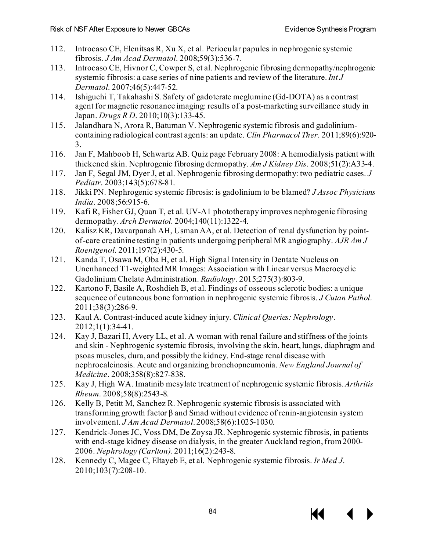- 112. Introcaso CE, Elenitsas R, Xu X, et al. Periocular papules in nephrogenic systemic fibrosis. *J Am Acad Dermatol*. 2008;59(3):536-7.
- 113. Introcaso CE, Hivnor C, Cowper S, et al. Nephrogenic fibrosing dermopathy/nephrogenic systemic fibrosis: a case series of nine patients and review of the literature. *Int J Dermatol*. 2007;46(5):447-52.
- 114. Ishiguchi T, Takahashi S. Safety of gadoterate meglumine (Gd-DOTA) as a contrast agent for magnetic resonance imaging: results of a post-marketing surveillance study in Japan. *Drugs R D*. 2010;10(3):133-45.
- 115. Jalandhara N, Arora R, Batuman V. Nephrogenic systemic fibrosis and gadoliniumcontaining radiological contrast agents: an update. *Clin Pharmacol Ther*. 2011;89(6):920- 3.
- 116. Jan F, Mahboob H, Schwartz AB. Quiz page February 2008: A hemodialysis patient with thickened skin. Nephrogenic fibrosing dermopathy. *Am J Kidney Dis*. 2008;51(2):A33-4.
- 117. Jan F, Segal JM, Dyer J, et al. Nephrogenic fibrosing dermopathy: two pediatric cases. *J Pediatr*. 2003;143(5):678-81.
- 118. Jikki PN. Nephrogenic systemic fibrosis: is gadolinium to be blamed? *J Assoc Physicians India*. 2008;56:915-6.
- 119. Kafi R, Fisher GJ, Quan T, et al. UV-A1 phototherapy improves nephrogenic fibrosing dermopathy. *Arch Dermatol*. 2004;140(11):1322-4.
- 120. Kalisz KR, Davarpanah AH, Usman AA, et al. Detection of renal dysfunction by pointof-care creatinine testing in patients undergoing peripheral MR angiography. *AJR Am J Roentgenol*. 2011;197(2):430-5.
- 121. Kanda T, Osawa M, Oba H, et al. High Signal Intensity in Dentate Nucleus on Unenhanced T1-weighted MR Images: Association with Linear versus Macrocyclic Gadolinium Chelate Administration. *Radiology*. 2015;275(3):803-9.
- 122. Kartono F, Basile A, Roshdieh B, et al. Findings of osseous sclerotic bodies: a unique sequence of cutaneous bone formation in nephrogenic systemic fibrosis. *J Cutan Pathol*. 2011;38(3):286-9.
- 123. Kaul A. Contrast-induced acute kidney injury. *Clinical Queries: Nephrology*. 2012;1(1):34-41.
- 124. Kay J, Bazari H, Avery LL, et al. A woman with renal failure and stiffness of the joints and skin - Nephrogenic systemic fibrosis, involving the skin, heart, lungs, diaphragm and psoas muscles, dura, and possibly the kidney. End-stage renal disease with nephrocalcinosis. Acute and organizing bronchopneumonia. *New England Journal of Medicine*. 2008;358(8):827-838.
- 125. Kay J, High WA. Imatinib mesylate treatment of nephrogenic systemic fibrosis. *Arthritis Rheum*. 2008;58(8):2543-8.
- 126. Kelly B, Petitt M, Sanchez R. Nephrogenic systemic fibrosis is associated with transforming growth factor β and Smad without evidence of renin-angiotensin system involvement. *J Am Acad Dermatol*. 2008;58(6):1025-1030.
- 127. Kendrick-Jones JC, Voss DM, De Zoysa JR. Nephrogenic systemic fibrosis, in patients with end-stage kidney disease on dialysis, in the greater Auckland region, from 2000- 2006. *Nephrology (Carlton)*. 2011;16(2):243-8.
- 128. Kennedy C, Magee C, Eltayeb E, et al. Nephrogenic systemic fibrosis. *Ir Med J*. 2010;103(7):208-10.

KK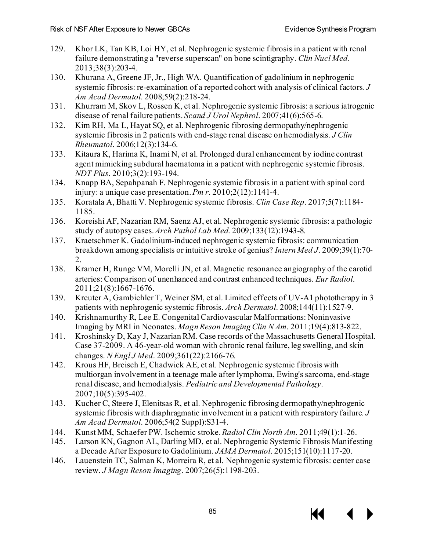- 129. Khor LK, Tan KB, Loi HY, et al. Nephrogenic systemic fibrosis in a patient with renal failure demonstrating a "reverse superscan" on bone scintigraphy. *Clin Nucl Med*. 2013;38(3):203-4.
- 130. Khurana A, Greene JF, Jr., High WA. Quantification of gadolinium in nephrogenic systemic fibrosis: re-examination of a reported cohort with analysis of clinical factors. *J Am Acad Dermatol*. 2008;59(2):218-24.
- 131. Khurram M, Skov L, Rossen K, et al. Nephrogenic systemic fibrosis: a serious iatrogenic disease of renal failure patients. *Scand J Urol Nephrol*. 2007;41(6):565-6.
- 132. Kim RH, Ma L, Hayat SQ, et al. Nephrogenic fibrosing dermopathy/nephrogenic systemic fibrosis in 2 patients with end-stage renal disease on hemodialysis. *J Clin Rheumatol*. 2006;12(3):134-6.
- 133. Kitaura K, Harima K, Inami N, et al. Prolonged dural enhancement by iodine contrast agent mimicking subdural haematoma in a patient with nephrogenic systemic fibrosis. *NDT Plus*. 2010;3(2):193-194.
- 134. Knapp BA, Sepahpanah F. Nephrogenic systemic fibrosis in a patient with spinal cord injury: a unique case presentation. *Pm r*. 2010;2(12):1141-4.
- 135. Koratala A, Bhatti V. Nephrogenic systemic fibrosis. *Clin Case Rep*. 2017;5(7):1184- 1185.
- 136. Koreishi AF, Nazarian RM, Saenz AJ, et al. Nephrogenic systemic fibrosis: a pathologic study of autopsy cases. *Arch Pathol Lab Med*. 2009;133(12):1943-8.
- 137. Kraetschmer K. Gadolinium-induced nephrogenic systemic fibrosis: communication breakdown among specialists or intuitive stroke of genius? *Intern Med J*. 2009;39(1):70- 2.
- 138. Kramer H, Runge VM, Morelli JN, et al. Magnetic resonance angiography of the carotid arteries: Comparison of unenhanced and contrast enhanced techniques. *Eur Radiol*. 2011;21(8):1667-1676.
- 139. Kreuter A, Gambichler T, Weiner SM, et al. Limited effects of UV-A1 phototherapy in 3 patients with nephrogenic systemic fibrosis. *Arch Dermatol*. 2008;144(11):1527-9.
- 140. Krishnamurthy R, Lee E. Congenital Cardiovascular Malformations: Noninvasive Imaging by MRI in Neonates. *Magn Reson Imaging Clin N Am*. 2011;19(4):813-822.
- 141. Kroshinsky D, Kay J, Nazarian RM. Case records of the Massachusetts General Hospital. Case 37-2009. A 46-year-old woman with chronic renal failure, leg swelling, and skin changes. *N Engl J Med*. 2009;361(22):2166-76.
- 142. Krous HF, Breisch E, Chadwick AE, et al. Nephrogenic systemic fibrosis with multiorgan involvement in a teenage male after lymphoma, Ewing's sarcoma, end-stage renal disease, and hemodialysis. *Pediatric and Developmental Pathology*. 2007;10(5):395-402.
- 143. Kucher C, Steere J, Elenitsas R, et al. Nephrogenic fibrosing dermopathy/nephrogenic systemic fibrosis with diaphragmatic involvement in a patient with respiratory failure. *J Am Acad Dermatol*. 2006;54(2 Suppl):S31-4.
- 144. Kunst MM, Schaefer PW. Ischemic stroke. *Radiol Clin North Am*. 2011;49(1):1-26.
- 145. Larson KN, Gagnon AL, Darling MD, et al. Nephrogenic Systemic Fibrosis Manifesting a Decade After Exposure to Gadolinium. *JAMA Dermatol*. 2015;151(10):1117-20.
- 146. Lauenstein TC, Salman K, Morreira R, et al. Nephrogenic systemic fibrosis: center case review. *J Magn Reson Imaging*. 2007;26(5):1198-203.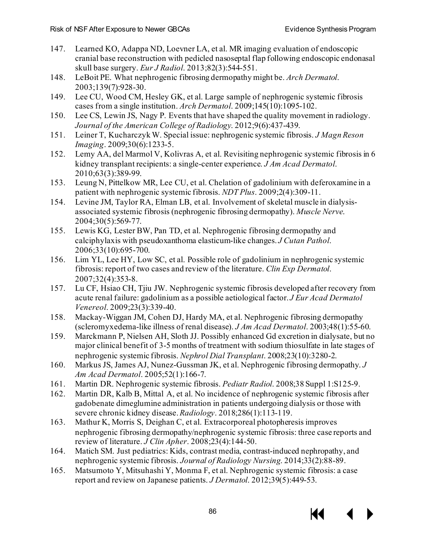- 147. Learned KO, Adappa ND, Loevner LA, et al. MR imaging evaluation of endoscopic cranial base reconstruction with pedicled nasoseptal flap following endoscopic endonasal skull base surgery. *Eur J Radiol*. 2013;82(3):544-551.
- 148. LeBoit PE. What nephrogenic fibrosing dermopathy might be. *Arch Dermatol*. 2003;139(7):928-30.
- 149. Lee CU, Wood CM, Hesley GK, et al. Large sample of nephrogenic systemic fibrosis cases from a single institution. *Arch Dermatol*. 2009;145(10):1095-102.
- 150. Lee CS, Lewin JS, Nagy P. Events that have shaped the quality movement in radiology. *Journal of the American College of Radiology*. 2012;9(6):437-439.
- 151. Leiner T, Kucharczyk W. Special issue: nephrogenic systemic fibrosis. *J Magn Reson Imaging*. 2009;30(6):1233-5.
- 152. Lemy AA, del Marmol V, Kolivras A, et al. Revisiting nephrogenic systemic fibrosis in 6 kidney transplant recipients: a single-center experience. *J Am Acad Dermatol*. 2010;63(3):389-99.
- 153. Leung N, Pittelkow MR, Lee CU, et al. Chelation of gadolinium with deferoxamine in a patient with nephrogenic systemic fibrosis. *NDT Plus*. 2009;2(4):309-11.
- 154. Levine JM, Taylor RA, Elman LB, et al. Involvement of skeletal muscle in dialysisassociated systemic fibrosis (nephrogenic fibrosing dermopathy). *Muscle Nerve*. 2004;30(5):569-77.
- 155. Lewis KG, Lester BW, Pan TD, et al. Nephrogenic fibrosing dermopathy and calciphylaxis with pseudoxanthoma elasticum-like changes. *J Cutan Pathol*. 2006;33(10):695-700.
- 156. Lim YL, Lee HY, Low SC, et al. Possible role of gadolinium in nephrogenic systemic fibrosis: report of two cases and review of the literature. *Clin Exp Dermatol*. 2007;32(4):353-8.
- 157. Lu CF, Hsiao CH, Tjiu JW. Nephrogenic systemic fibrosis developed after recovery from acute renal failure: gadolinium as a possible aetiological factor. *J Eur Acad Dermatol Venereol*. 2009;23(3):339-40.
- 158. Mackay-Wiggan JM, Cohen DJ, Hardy MA, et al. Nephrogenic fibrosing dermopathy (scleromyxedema-like illness of renal disease). *J Am Acad Dermatol*. 2003;48(1):55-60.
- 159. Marckmann P, Nielsen AH, Sloth JJ. Possibly enhanced Gd excretion in dialysate, but no major clinical benefit of 3-5 months of treatment with sodium thiosulfate in late stages of nephrogenic systemic fibrosis. *Nephrol Dial Transplant*. 2008;23(10):3280-2.
- 160. Markus JS, James AJ, Nunez-Gussman JK, et al. Nephrogenic fibrosing dermopathy. *J Am Acad Dermatol*. 2005;52(1):166-7.
- 161. Martin DR. Nephrogenic systemic fibrosis. *Pediatr Radiol*. 2008;38 Suppl 1:S125-9.
- 162. Martin DR, Kalb B, Mittal A, et al. No incidence of nephrogenic systemic fibrosis after gadobenate dimeglumine administration in patients undergoing dialysis or those with severe chronic kidney disease. *Radiology*. 2018;286(1):113-119.
- 163. Mathur K, Morris S, Deighan C, et al. Extracorporeal photopheresis improves nephrogenic fibrosing dermopathy/nephrogenic systemic fibrosis: three case reports and review of literature. *J Clin Apher*. 2008;23(4):144-50.
- 164. Matich SM. Just pediatrics: Kids, contrast media, contrast-induced nephropathy, and nephrogenic systemic fibrosis. *Journal of Radiology Nursing*. 2014;33(2):88-89.
- 165. Matsumoto Y, Mitsuhashi Y, Monma F, et al. Nephrogenic systemic fibrosis: a case report and review on Japanese patients. *J Dermatol*. 2012;39(5):449-53.

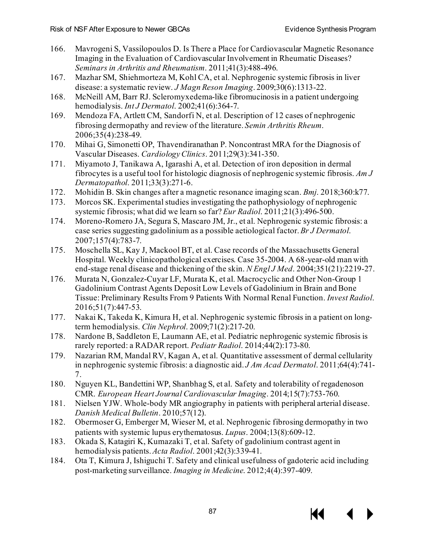- 166. Mavrogeni S, Vassilopoulos D. Is There a Place for Cardiovascular Magnetic Resonance Imaging in the Evaluation of Cardiovascular Involvement in Rheumatic Diseases? *Seminars in Arthritis and Rheumatism*. 2011;41(3):488-496.
- 167. Mazhar SM, Shiehmorteza M, Kohl CA, et al. Nephrogenic systemic fibrosis in liver disease: a systematic review. *J Magn Reson Imaging*. 2009;30(6):1313-22.
- 168. McNeill AM, Barr RJ. Scleromyxedema-like fibromucinosis in a patient undergoing hemodialysis. *Int J Dermatol*. 2002;41(6):364-7.
- 169. Mendoza FA, Artlett CM, Sandorfi N, et al. Description of 12 cases of nephrogenic fibrosing dermopathy and review of the literature. *Semin Arthritis Rheum*. 2006;35(4):238-49.
- 170. Mihai G, Simonetti OP, Thavendiranathan P. Noncontrast MRA for the Diagnosis of Vascular Diseases. *Cardiology Clinics*. 2011;29(3):341-350.
- 171. Miyamoto J, Tanikawa A, Igarashi A, et al. Detection of iron deposition in dermal fibrocytes is a useful tool for histologic diagnosis of nephrogenic systemic fibrosis. *Am J Dermatopathol*. 2011;33(3):271-6.
- 172. Mohidin B. Skin changes after a magnetic resonance imaging scan. *Bmj*. 2018;360:k77.
- 173. Morcos SK. Experimental studies investigating the pathophysiology of nephrogenic systemic fibrosis; what did we learn so far? *Eur Radiol*. 2011;21(3):496-500.
- 174. Moreno-Romero JA, Segura S, Mascaro JM, Jr., et al. Nephrogenic systemic fibrosis: a case series suggesting gadolinium as a possible aetiological factor. *Br J Dermatol*. 2007;157(4):783-7.
- 175. Moschella SL, Kay J, Mackool BT, et al. Case records of the Massachusetts General Hospital. Weekly clinicopathological exercises. Case 35-2004. A 68-year-old man with end-stage renal disease and thickening of the skin. *N Engl J Med*. 2004;351(21):2219-27.
- 176. Murata N, Gonzalez-Cuyar LF, Murata K, et al. Macrocyclic and Other Non-Group 1 Gadolinium Contrast Agents Deposit Low Levels of Gadolinium in Brain and Bone Tissue: Preliminary Results From 9 Patients With Normal Renal Function. *Invest Radiol*. 2016;51(7):447-53.
- 177. Nakai K, Takeda K, Kimura H, et al. Nephrogenic systemic fibrosis in a patient on longterm hemodialysis. *Clin Nephrol*. 2009;71(2):217-20.
- 178. Nardone B, Saddleton E, Laumann AE, et al. Pediatric nephrogenic systemic fibrosis is rarely reported: a RADAR report. *Pediatr Radiol*. 2014;44(2):173-80.
- 179. Nazarian RM, Mandal RV, Kagan A, et al. Quantitative assessment of dermal cellularity in nephrogenic systemic fibrosis: a diagnostic aid. *J Am Acad Dermatol*. 2011;64(4):741- 7.
- 180. Nguyen KL, Bandettini WP, Shanbhag S, et al. Safety and tolerability of regadenoson CMR. *European Heart Journal Cardiovascular Imaging*. 2014;15(7):753-760.
- 181. Nielsen YJW. Whole-body MR angiography in patients with peripheral arterial disease. *Danish Medical Bulletin*. 2010;57(12).
- 182. Obermoser G, Emberger M, Wieser M, et al. Nephrogenic fibrosing dermopathy in two patients with systemic lupus erythematosus. *Lupus*. 2004;13(8):609-12.
- 183. Okada S, Katagiri K, Kumazaki T, et al. Safety of gadolinium contrast agent in hemodialysis patients. *Acta Radiol*. 2001;42(3):339-41.
- 184. Ota T, Kimura J, Ishiguchi T. Safety and clinical usefulness of gadoteric acid including post-marketing surveillance. *Imaging in Medicine*. 2012;4(4):397-409.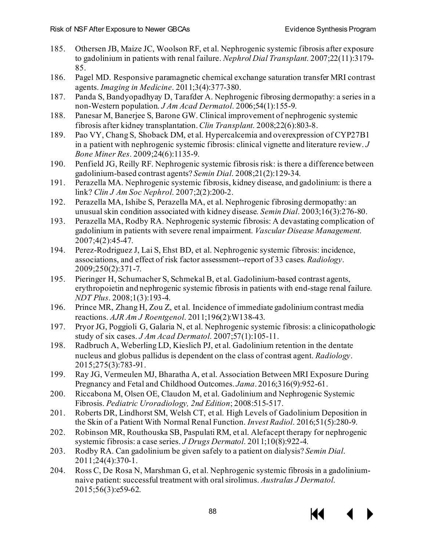- 185. Othersen JB, Maize JC, Woolson RF, et al. Nephrogenic systemic fibrosis after exposure to gadolinium in patients with renal failure. *Nephrol Dial Transplant*. 2007;22(11):3179- 85.
- 186. Pagel MD. Responsive paramagnetic chemical exchange saturation transfer MRI contrast agents. *Imaging in Medicine*. 2011;3(4):377-380.
- 187. Panda S, Bandyopadhyay D, Tarafder A. Nephrogenic fibrosing dermopathy: a series in a non-Western population. *J Am Acad Dermatol*. 2006;54(1):155-9.
- 188. Panesar M, Banerjee S, Barone GW. Clinical improvement of nephrogenic systemic fibrosis after kidney transplantation. *Clin Transplant*. 2008;22(6):803-8.
- 189. Pao VY, Chang S, Shoback DM, et al. Hypercalcemia and overexpression of CYP27B1 in a patient with nephrogenic systemic fibrosis: clinical vignette and literature review. *J Bone Miner Res*. 2009;24(6):1135-9.
- 190. Penfield JG, Reilly RF. Nephrogenic systemic fibrosis risk: is there a difference between gadolinium-based contrast agents? *Semin Dial*. 2008;21(2):129-34.
- 191. Perazella MA. Nephrogenic systemic fibrosis, kidney disease, and gadolinium: is there a link? *Clin J Am Soc Nephrol*. 2007;2(2):200-2.
- 192. Perazella MA, Ishibe S, Perazella MA, et al. Nephrogenic fibrosing dermopathy: an unusual skin condition associated with kidney disease. *Semin Dial*. 2003;16(3):276-80.
- 193. Perazella MA, Rodby RA. Nephrogenic systemic fibrosis: A devastating complication of gadolinium in patients with severe renal impairment. *Vascular Disease Management*. 2007;4(2):45-47.
- 194. Perez-Rodriguez J, Lai S, Ehst BD, et al. Nephrogenic systemic fibrosis: incidence, associations, and effect of risk factor assessment--report of 33 cases. *Radiology*. 2009;250(2):371-7.
- 195. Pieringer H, Schumacher S, Schmekal B, et al. Gadolinium-based contrast agents, erythropoietin and nephrogenic systemic fibrosis in patients with end-stage renal failure. *NDT Plus*. 2008;1(3):193-4.
- 196. Prince MR, Zhang H, Zou Z, et al. Incidence of immediate gadolinium contrast media reactions. *AJR Am J Roentgenol*. 2011;196(2):W138-43.
- 197. Pryor JG, Poggioli G, Galaria N, et al. Nephrogenic systemic fibrosis: a clinicopathologic study of six cases. *J Am Acad Dermatol*. 2007;57(1):105-11.
- 198. Radbruch A, Weberling LD, Kieslich PJ, et al. Gadolinium retention in the dentate nucleus and globus pallidus is dependent on the class of contrast agent. *Radiology*. 2015;275(3):783-91.
- 199. Ray JG, Vermeulen MJ, Bharatha A, et al. Association Between MRI Exposure During Pregnancy and Fetal and Childhood Outcomes. *Jama*. 2016;316(9):952-61.
- 200. Riccabona M, Olsen OE, Claudon M, et al. Gadolinium and Nephrogenic Systemic Fibrosis. *Pediatric Uroradiology, 2nd Edition*; 2008:515-517.
- 201. Roberts DR, Lindhorst SM, Welsh CT, et al. High Levels of Gadolinium Deposition in the Skin of a Patient With Normal Renal Function. *Invest Radiol*. 2016;51(5):280-9.
- 202. Robinson MR, Routhouska SB, Paspulati RM, et al. Alefacept therapy for nephrogenic systemic fibrosis: a case series. *J Drugs Dermatol*. 2011;10(8):922-4.
- 203. Rodby RA. Can gadolinium be given safely to a patient on dialysis? *Semin Dial*. 2011;24(4):370-1.
- 204. Ross C, De Rosa N, Marshman G, et al. Nephrogenic systemic fibrosis in a gadoliniumnaive patient: successful treatment with oral sirolimus. *Australas J Dermatol*. 2015;56(3):e59-62.



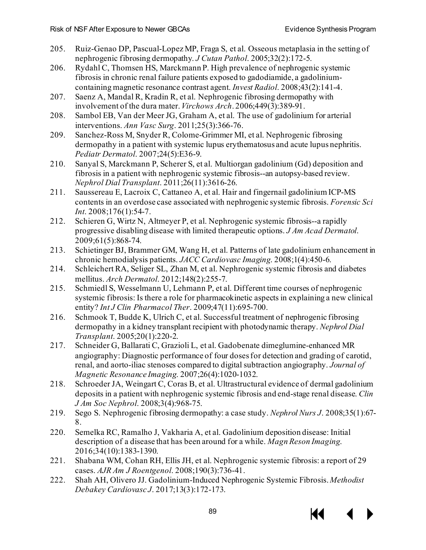- 205. Ruiz-Genao DP, Pascual-Lopez MP, Fraga S, et al. Osseous metaplasia in the setting of nephrogenic fibrosing dermopathy. *J Cutan Pathol*. 2005;32(2):172-5.
- 206. Rydahl C, Thomsen HS, Marckmann P. High prevalence of nephrogenic systemic fibrosis in chronic renal failure patients exposed to gadodiamide, a gadoliniumcontaining magnetic resonance contrast agent. *Invest Radiol*. 2008;43(2):141-4.
- 207. Saenz A, Mandal R, Kradin R, et al. Nephrogenic fibrosing dermopathy with involvement of the dura mater. *Virchows Arch*. 2006;449(3):389-91.
- 208. Sambol EB, Van der Meer JG, Graham A, et al. The use of gadolinium for arterial interventions. *Ann Vasc Surg*. 2011;25(3):366-76.
- 209. Sanchez-Ross M, Snyder R, Colome-Grimmer MI, et al. Nephrogenic fibrosing dermopathy in a patient with systemic lupus erythematosus and acute lupus nephritis. *Pediatr Dermatol*. 2007;24(5):E36-9.
- 210. Sanyal S, Marckmann P, Scherer S, et al. Multiorgan gadolinium (Gd) deposition and fibrosis in a patient with nephrogenic systemic fibrosis--an autopsy-based review. *Nephrol Dial Transplant*. 2011;26(11):3616-26.
- 211. Saussereau E, Lacroix C, Cattaneo A, et al. Hair and fingernail gadolinium ICP-MS contents in an overdose case associated with nephrogenic systemic fibrosis. *Forensic Sci Int*. 2008;176(1):54-7.
- 212. Schieren G, Wirtz N, Altmeyer P, et al. Nephrogenic systemic fibrosis--a rapidly progressive disabling disease with limited therapeutic options. *J Am Acad Dermatol*. 2009;61(5):868-74.
- 213. Schietinger BJ, Brammer GM, Wang H, et al. Patterns of late gadolinium enhancement in chronic hemodialysis patients. *JACC Cardiovasc Imaging*. 2008;1(4):450-6.
- 214. Schleichert RA, Seliger SL, Zhan M, et al. Nephrogenic systemic fibrosis and diabetes mellitus. *Arch Dermatol*. 2012;148(2):255-7.
- 215. Schmiedl S, Wesselmann U, Lehmann P, et al. Different time courses of nephrogenic systemic fibrosis: Is there a role for pharmacokinetic aspects in explaining a new clinical entity? *Int J Clin Pharmacol Ther*. 2009;47(11):695-700.
- 216. Schmook T, Budde K, Ulrich C, et al. Successful treatment of nephrogenic fibrosing dermopathy in a kidney transplant recipient with photodynamic therapy. *Nephrol Dial Transplant*. 2005;20(1):220-2.
- 217. Schneider G, Ballarati C, Grazioli L, et al. Gadobenate dimeglumine-enhanced MR angiography: Diagnostic performance of four doses for detection and grading of carotid, renal, and aorto-iliac stenoses compared to digital subtraction angiography. *Journal of Magnetic Resonance Imaging*. 2007;26(4):1020-1032.
- 218. Schroeder JA, Weingart C, Coras B, et al. Ultrastructural evidence of dermal gadolinium deposits in a patient with nephrogenic systemic fibrosis and end-stage renal disease. *Clin J Am Soc Nephrol*. 2008;3(4):968-75.
- 219. Sego S. Nephrogenic fibrosing dermopathy: a case study. *Nephrol Nurs J*. 2008;35(1):67- 8.
- 220. Semelka RC, Ramalho J, Vakharia A, et al. Gadolinium deposition disease: Initial description of a disease that has been around for a while. *Magn Reson Imaging*. 2016;34(10):1383-1390.
- 221. Shabana WM, Cohan RH, Ellis JH, et al. Nephrogenic systemic fibrosis: a report of 29 cases. *AJR Am J Roentgenol*. 2008;190(3):736-41.
- 222. Shah AH, Olivero JJ. Gadolinium-Induced Nephrogenic Systemic Fibrosis. *Methodist Debakey Cardiovasc J*. 2017;13(3):172-173.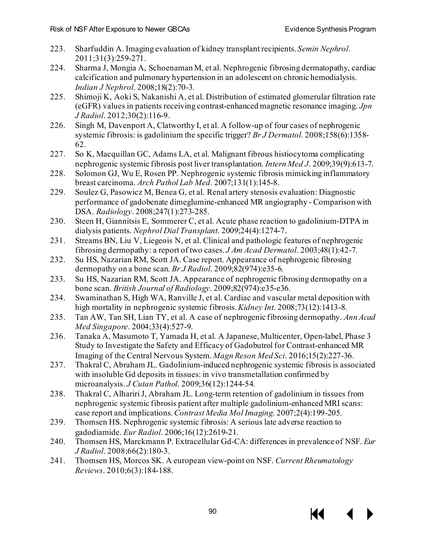- 223. Sharfuddin A. Imaging evaluation of kidney transplant recipients. *Semin Nephrol*. 2011;31(3):259-271.
- 224. Sharma J, Mongia A, Schoenaman M, et al. Nephrogenic fibrosing dermatopathy, cardiac calcification and pulmonary hypertension in an adolescent on chronic hemodialysis. *Indian J Nephrol*. 2008;18(2):70-3.
- 225. Shimoji K, Aoki S, Nakanishi A, et al. Distribution of estimated glomerular filtration rate (eGFR) values in patients receiving contrast-enhanced magnetic resonance imaging. *Jpn J Radiol*. 2012;30(2):116-9.
- 226. Singh M, Davenport A, Clatworthy I, et al. A follow-up of four cases of nephrogenic systemic fibrosis: is gadolinium the specific trigger? *Br J Dermatol*. 2008;158(6):1358- 62.
- 227. So K, Macquillan GC, Adams LA, et al. Malignant fibrous histiocytoma complicating nephrogenic systemic fibrosis post liver transplantation. *Intern Med J*. 2009;39(9):613-7.
- 228. Solomon GJ, Wu E, Rosen PP. Nephrogenic systemic fibrosis mimicking inflammatory breast carcinoma. *Arch Pathol Lab Med*. 2007;131(1):145-8.
- 229. Soulez G, Pasowicz M, Benea G, et al. Renal artery stenosis evaluation: Diagnostic performance of gadobenate dimeglumine-enhanced MR angiography - Comparison with DSA. *Radiology*. 2008;247(1):273-285.
- 230. Steen H, Giannitsis E, Sommerer C, et al. Acute phase reaction to gadolinium-DTPA in dialysis patients. *Nephrol Dial Transplant*. 2009;24(4):1274-7.
- 231. Streams BN, Liu V, Liegeois N, et al. Clinical and pathologic features of nephrogenic fibrosing dermopathy: a report of two cases. *J Am Acad Dermatol*. 2003;48(1):42-7.
- 232. Su HS, Nazarian RM, Scott JA. Case report. Appearance of nephrogenic fibrosing dermopathy on a bone scan. *Br J Radiol*. 2009;82(974):e35-6.
- 233. Su HS, Nazarian RM, Scott JA. Appearance of nephrogenic fibrosing dermopathy on a bone scan. *British Journal of Radiology*. 2009;82(974):e35-e36.
- 234. Swaminathan S, High WA, Ranville J, et al. Cardiac and vascular metal deposition with high mortality in nephrogenic systemic fibrosis. *Kidney Int*. 2008;73(12):1413-8.
- 235. Tan AW, Tan SH, Lian TY, et al. A case of nephrogenic fibrosing dermopathy. *Ann Acad Med Singapore*. 2004;33(4):527-9.
- 236. Tanaka A, Masumoto T, Yamada H, et al. A Japanese, Multicenter, Open-label, Phase 3 Study to Investigate the Safety and Efficacy of Gadobutrol for Contrast-enhanced MR Imaging of the Central Nervous System. *Magn Reson Med Sci*. 2016;15(2):227-36.
- 237. Thakral C, Abraham JL. Gadolinium-induced nephrogenic systemic fibrosis is associated with insoluble Gd deposits in tissues: in vivo transmetallation confirmed by microanalysis. *J Cutan Pathol*. 2009;36(12):1244-54.
- 238. Thakral C, Alhariri J, Abraham JL. Long-term retention of gadolinium in tissues from nephrogenic systemic fibrosis patient after multiple gadolinium-enhanced MRI scans: case report and implications. *Contrast Media Mol Imaging*. 2007;2(4):199-205.
- 239. Thomsen HS. Nephrogenic systemic fibrosis: A serious late adverse reaction to gadodiamide. *Eur Radiol*. 2006;16(12):2619-21.
- 240. Thomsen HS, Marckmann P. Extracellular Gd-CA: differences in prevalence of NSF. *Eur J Radiol*. 2008;66(2):180-3.
- 241. Thomsen HS, Morcos SK. A european view-point on NSF. *Current Rheumatology Reviews*. 2010;6(3):184-188.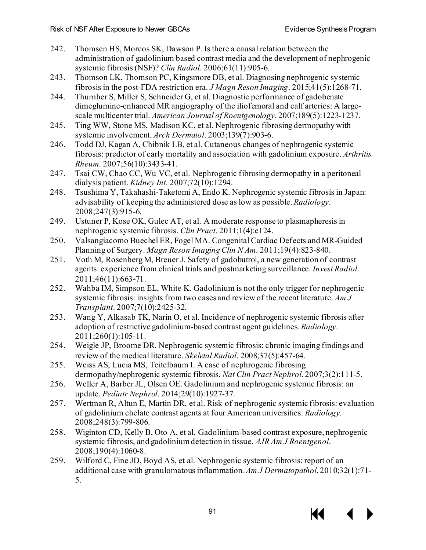- 242. Thomsen HS, Morcos SK, Dawson P. Is there a causal relation between the administration of gadolinium based contrast media and the development of nephrogenic systemic fibrosis (NSF)? *Clin Radiol*. 2006;61(11):905-6.
- 243. Thomson LK, Thomson PC, Kingsmore DB, et al. Diagnosing nephrogenic systemic fibrosis in the post-FDA restriction era. *J Magn Reson Imaging*. 2015;41(5):1268-71.
- 244. Thurnher S, Miller S, Schneider G, et al. Diagnostic performance of gadobenate dimeglumine-enhanced MR angiography of the iliofemoral and calf arteries: A largescale multicenter trial. *American Journal of Roentgenology*. 2007;189(5):1223-1237.
- 245. Ting WW, Stone MS, Madison KC, et al. Nephrogenic fibrosing dermopathy with systemic involvement. *Arch Dermatol*. 2003;139(7):903-6.
- 246. Todd DJ, Kagan A, Chibnik LB, et al. Cutaneous changes of nephrogenic systemic fibrosis: predictor of early mortality and association with gadolinium exposure. *Arthritis Rheum*. 2007;56(10):3433-41.
- 247. Tsai CW, Chao CC, Wu VC, et al. Nephrogenic fibrosing dermopathy in a peritoneal dialysis patient. *Kidney Int*. 2007;72(10):1294.
- 248. Tsushima Y, Takahashi-Taketomi A, Endo K. Nephrogenic systemic fibrosis in Japan: advisability of keeping the administered dose as low as possible. *Radiology*. 2008;247(3):915-6.
- 249. Ustuner P, Kose OK, Gulec AT, et al. A moderate response to plasmapheresis in nephrogenic systemic fibrosis. *Clin Pract*. 2011;1(4):e124.
- 250. Valsangiacomo Buechel ER, Fogel MA. Congenital Cardiac Defects and MR-Guided Planning of Surgery. *Magn Reson Imaging Clin N Am*. 2011;19(4):823-840.
- 251. Voth M, Rosenberg M, Breuer J. Safety of gadobutrol, a new generation of contrast agents: experience from clinical trials and postmarketing surveillance. *Invest Radiol*. 2011;46(11):663-71.
- 252. Wahba IM, Simpson EL, White K. Gadolinium is not the only trigger for nephrogenic systemic fibrosis: insights from two cases and review of the recent literature. *Am J Transplant*. 2007;7(10):2425-32.
- 253. Wang Y, Alkasab TK, Narin O, et al. Incidence of nephrogenic systemic fibrosis after adoption of restrictive gadolinium-based contrast agent guidelines. *Radiology*. 2011;260(1):105-11.
- 254. Weigle JP, Broome DR. Nephrogenic systemic fibrosis: chronic imaging findings and review of the medical literature. *Skeletal Radiol*. 2008;37(5):457-64.
- 255. Weiss AS, Lucia MS, Teitelbaum I. A case of nephrogenic fibrosing dermopathy/nephrogenic systemic fibrosis. *Nat Clin Pract Nephrol*. 2007;3(2):111-5.
- 256. Weller A, Barber JL, Olsen OE. Gadolinium and nephrogenic systemic fibrosis: an update. *Pediatr Nephrol*. 2014;29(10):1927-37.
- 257. Wertman R, Altun E, Martin DR, et al. Risk of nephrogenic systemic fibrosis: evaluation of gadolinium chelate contrast agents at four American universities. *Radiology*. 2008;248(3):799-806.
- 258. Wiginton CD, Kelly B, Oto A, et al. Gadolinium-based contrast exposure, nephrogenic systemic fibrosis, and gadolinium detection in tissue. *AJR Am J Roentgenol*. 2008;190(4):1060-8.
- 259. Wilford C, Fine JD, Boyd AS, et al. Nephrogenic systemic fibrosis: report of an additional case with granulomatous inflammation. *Am J Dermatopathol*. 2010;32(1):71- 5.



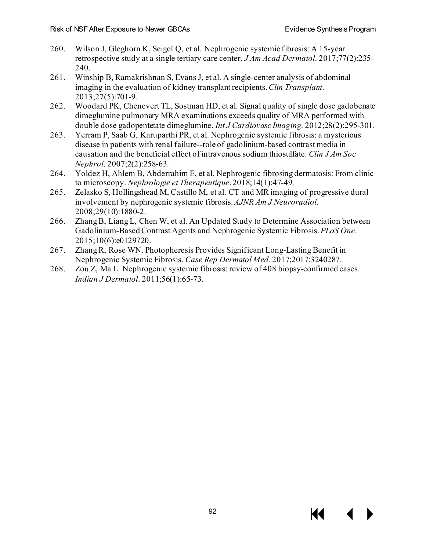- 260. Wilson J, Gleghorn K, Seigel Q, et al. Nephrogenic systemic fibrosis: A 15-year retrospective study at a single tertiary care center. *J Am Acad Dermatol*. 2017;77(2):235- 240.
- 261. Winship B, Ramakrishnan S, Evans J, et al. A single-center analysis of abdominal imaging in the evaluation of kidney transplant recipients. *Clin Transplant*. 2013;27(5):701-9.
- 262. Woodard PK, Chenevert TL, Sostman HD, et al. Signal quality of single dose gadobenate dimeglumine pulmonary MRA examinations exceeds quality of MRA performed with double dose gadopentetate dimeglumine. *Int J Cardiovasc Imaging*. 2012;28(2):295-301.
- 263. Yerram P, Saab G, Karuparthi PR, et al. Nephrogenic systemic fibrosis: a mysterious disease in patients with renal failure--role of gadolinium-based contrast media in causation and the beneficial effect of intravenous sodium thiosulfate. *Clin J Am Soc Nephrol*. 2007;2(2):258-63.
- 264. Yoldez H, Ahlem B, Abderrahim E, et al. Nephrogenic fibrosing dermatosis: From clinic to microscopy. *Nephrologie et Therapeutique*. 2018;14(1):47-49.
- 265. Zelasko S, Hollingshead M, Castillo M, et al. CT and MR imaging of progressive dural involvement by nephrogenic systemic fibrosis. *AJNR Am J Neuroradiol*. 2008;29(10):1880-2.
- 266. Zhang B, Liang L, Chen W, et al. An Updated Study to Determine Association between Gadolinium-Based Contrast Agents and Nephrogenic Systemic Fibrosis. *PLoS One*. 2015;10(6):e0129720.
- 267. Zhang R, Rose WN. Photopheresis Provides Significant Long-Lasting Benefit in Nephrogenic Systemic Fibrosis. *Case Rep Dermatol Med*. 2017;2017:3240287.
- 268. Zou Z, Ma L. Nephrogenic systemic fibrosis: review of 408 biopsy-confirmed cases. *Indian J Dermatol*. 2011;56(1):65-73.

К€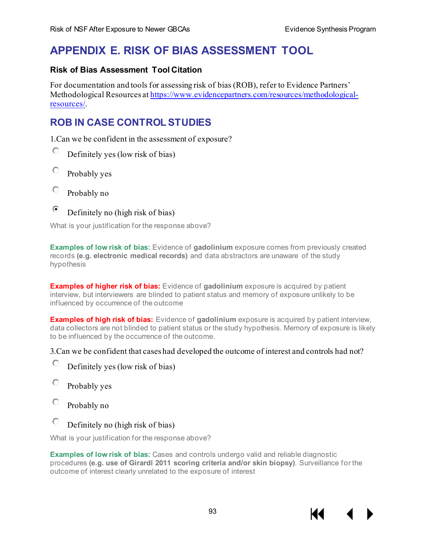# **APPENDIX E. RISK OF BIAS ASSESSMENT TOOL**

## **Risk of Bias Assessment Tool Citation**

For documentation and tools for assessing risk of bias (ROB), refer to Evidence Partners' Methodological Resources a[t https://www.evidencepartners.com/resources/methodological](https://www.evidencepartners.com/resources/methodological-resources/)[resources/.](https://www.evidencepartners.com/resources/methodological-resources/)

## **ROB IN CASE CONTROL STUDIES**

1.Can we be confident in the assessment of exposure?

О Definitely yes (low risk of bias)

- 0 Probably yes
- 0 Probably no

#### $\odot$ Definitely no (high risk of bias)

What is your justification for the response above?

**Examples of low risk of bias:** Evidence of **gadolinium** exposure comes from previously created records **(e.g. electronic medical records)** and data abstractors are unaware of the study hypothesis

**Examples of higher risk of bias:** Evidence of **gadolinium** exposure is acquired by patient interview, but interviewers are blinded to patient status and memory of exposure unlikely to be influenced by occurrence of the outcome

**Examples of high risk of bias:** Evidence of **gadolinium** exposure is acquired by patient interview, data collectors are not blinded to patient status or the study hypothesis. Memory of exposure is likely to be influenced by the occurrence of the outcome.

3.Can we be confident that cases had developed the outcome of interest and controls had not?

- Ю Definitely yes (low risk of bias)
- О Probably yes
- О Probably no
- 0 Definitely no (high risk of bias)

What is your justification for the response above?

**Examples of low risk of bias:** Cases and controls undergo valid and reliable diagnostic procedures **(e.g. use of Girardi 2011 scoring criteria and/or skin biopsy)**. Surveillance for the outcome of interest clearly unrelated to the exposure of interest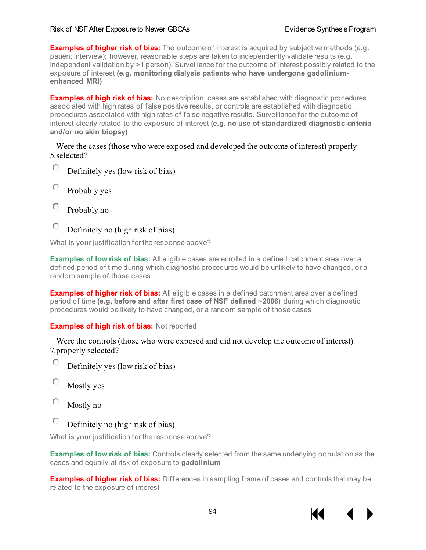#### Risk of NSF After Exposure to Newer GBCAs **Exposure Exposure Exposure CEAS** Evidence Synthesis Program

**Examples of higher risk of bias:** The outcome of interest is acquired by subjective methods (e.g. patient interview); however, reasonable steps are taken to independently validate results (e.g. independent validation by >1 person). Surveillance for the outcome of interest possibly related to the exposure of interest **(e.g. monitoring dialysis patients who have undergone gadoliniumenhanced MRI)**

**Examples of high risk of bias:** No description, cases are established with diagnostic procedures associated with high rates of false positive results, or controls are established with diagnostic procedures associated with high rates of false negative results. Surveillance for the outcome of interest clearly related to the exposure of interest **(e.g. no use of standardized diagnostic criteria and/or no skin biopsy)**

5. selected? Were the cases (those who were exposed and developed the outcome of interest) properly

- 0. Definitely yes (low risk of bias)
- $\circ$ Probably yes
- О Probably no
- О Definitely no (high risk of bias)

What is your justification for the response above?

**Examples of low risk of bias:** All eligible cases are enrolled in a defined catchment area over a defined period of time during which diagnostic procedures would be unlikely to have changed, or a random sample of those cases

**Examples of higher risk of bias:** All eligible cases in a defined catchment area over a defined period of time **(e.g. before and after first case of NSF defined ~2006)** during which diagnostic procedures would be likely to have changed, or a random sample of those cases

#### **Examples of high risk of bias:** Not reported

7. properly selected? Were the controls (those who were exposed and did not develop the outcome of interest)

- О Definitely yes (low risk of bias)
- О Mostly yes
- О Mostly no

#### $\circ$ Definitely no (high risk of bias)

What is your justification for the response above?

**Examples of low risk of bias:** Controls clearly selected from the same underlying population as the cases and equally at risk of exposure to **gadolinium**

**Examples of higher risk of bias:** Differences in sampling frame of cases and controls that may be related to the exposure of interest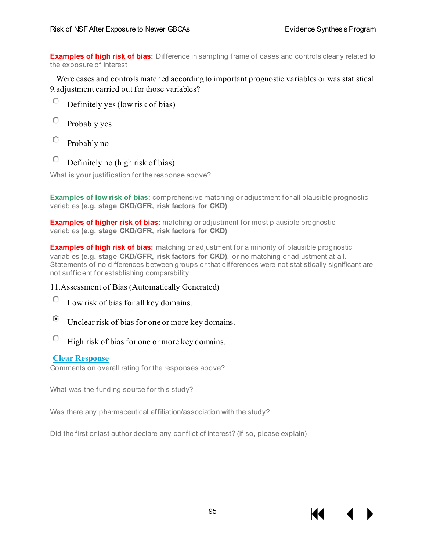**Examples of high risk of bias:** Difference in sampling frame of cases and controls clearly related to the exposure of interest

9. adjustment carried out for those variables? Were cases and controls matched according to important prognostic variables or was statistical

- О Definitely yes (low risk of bias)
- О Probably yes
- О Probably no
- О Definitely no (high risk of bias)

What is your justification for the response above?

**Examples of low risk of bias:** comprehensive matching or adjustment for all plausible prognostic variables **(e.g. stage CKD/GFR, risk factors for CKD)**

**Examples of higher risk of bias:** matching or adjustment for most plausible prognostic variables **(e.g. stage CKD/GFR, risk factors for CKD)**

**Examples of high risk of bias:** matching or adjustment for a minority of plausible prognostic variables **(e.g. stage CKD/GFR, risk factors for CKD)**, or no matching or adjustment at all. Statements of no differences between groups or that differences were not statistically significant are not sufficient for establishing comparability

## 11.Assessment of Bias (Automatically Generated)

- О Low risk of bias for all key domains.
- $\left( \bullet \right)$ Unclear risk of bias for one or more key domains.
- О High risk of bias for one or more key domains.

## **Clear [Response](https://v2dis-prod.evidencepartners.com/Submit/RenderForm.php?id=71&hide_abstract=1)**

Comments on overall rating for the responses above?

What was the funding source for this study?

Was there any pharmaceutical affiliation/association with the study?

Did the first or last author declare any conflict of interest? (if so, please explain)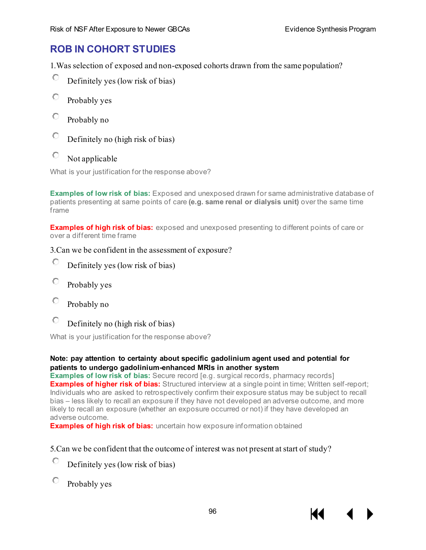## **ROB IN COHORT STUDIES**

1.Was selection of exposed and non-exposed cohorts drawn from the same population?

- 0 Definitely yes (low risk of bias)
- О Probably yes
- О Probably no
- О Definitely no (high risk of bias)
- О Not applicable

What is your justification for the response above?

**Examples of low risk of bias:** Exposed and unexposed drawn for same administrative database of patients presenting at same points of care **(e.g. same renal or dialysis unit)** over the same time frame

**Examples of high risk of bias:** exposed and unexposed presenting to different points of care or over a different time frame

## 3.Can we be confident in the assessment of exposure?

- О Definitely yes (low risk of bias)
- О Probably yes
- О Probably no
- 0. Definitely no (high risk of bias)

What is your justification for the response above?

## **Note: pay attention to certainty about specific gadolinium agent used and potential for patients to undergo gadolinium-enhanced MRIs in another system**

**Examples of low risk of bias:** Secure record [e.g. surgical records, pharmacy records] **Examples of higher risk of bias:** Structured interview at a single point in time; Written self-report; Individuals who are asked to retrospectively confirm their exposure status may be subject to recall bias – less likely to recall an exposure if they have not developed an adverse outcome, and more likely to recall an exposure (whether an exposure occurred or not) if they have developed an adverse outcome.

**Examples of high risk of bias:** uncertain how exposure information obtained

## 5.Can we be confident that the outcome of interest was not present at start of study?

- Ю Definitely yes (low risk of bias)
- О Probably yes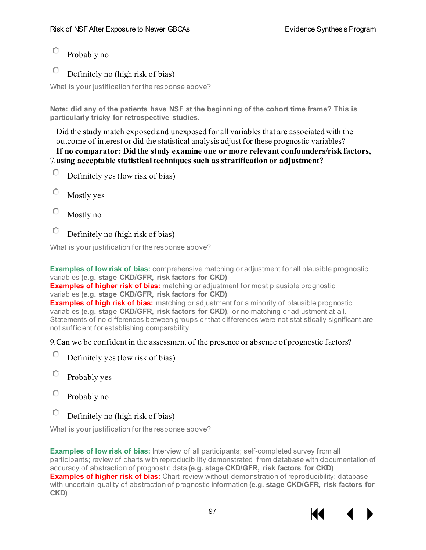#### О Probably no

#### О Definitely no (high risk of bias)

What is your justification for the response above?

**Note: did any of the patients have NSF at the beginning of the cohort time frame? This is particularly tricky for retrospective studies.**

Did the study match exposed and unexposed for all variables that are associated with the outcome of interest or did the statistical analysis adjust for these prognostic variables?

7. **using acceptable statistical techniques such as stratification or adjustment? If no comparator: Did the study examine one or more relevant confounders/risk factors,** 

- 0 Definitely yes (low risk of bias)
- О Mostly yes
- О Mostly no
- $\circ$ Definitely no (high risk of bias)

What is your justification for the response above?

**Examples of low risk of bias:** comprehensive matching or adjustment for all plausible prognostic variables **(e.g. stage CKD/GFR, risk factors for CKD)**

**Examples of higher risk of bias:** matching or adjustment for most plausible prognostic variables **(e.g. stage CKD/GFR, risk factors for CKD)**

**Examples of high risk of bias:** matching or adjustment for a minority of plausible prognostic variables **(e.g. stage CKD/GFR, risk factors for CKD)**, or no matching or adjustment at all. Statements of no differences between groups or that differences were not statistically significant are not sufficient for establishing comparability.

## 9.Can we be confident in the assessment of the presence or absence of prognostic factors?

- О Definitely yes (low risk of bias)
- О Probably yes
- О Probably no
- $\circ$ Definitely no (high risk of bias)

What is your justification for the response above?

**Examples of low risk of bias:** Interview of all participants; self-completed survey from all participants; review of charts with reproducibility demonstrated; from database with documentation of accuracy of abstraction of prognostic data **(e.g. stage CKD/GFR, risk factors for CKD) Examples of higher risk of bias:** Chart review without demonstration of reproducibility; database with uncertain quality of abstraction of prognostic information **(e.g. stage CKD/GFR, risk factors for CKD)**

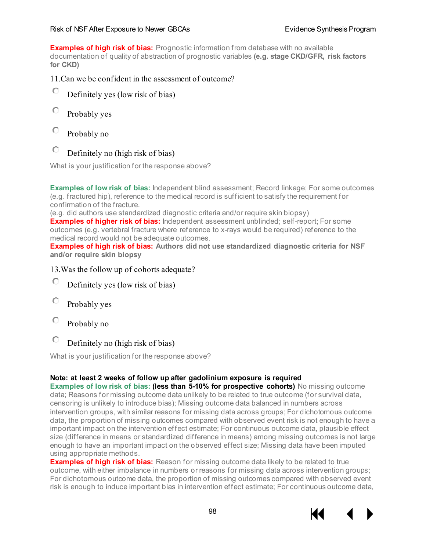#### Risk of NSF After Exposure to Newer GBCAs **Exposure Exposure Exposure CEAS** Evidence Synthesis Program

**Examples of high risk of bias:** Prognostic information from database with no available documentation of quality of abstraction of prognostic variables **(e.g. stage CKD/GFR, risk factors for CKD)**

## 11.Can we be confident in the assessment of outcome?

- О Definitely yes (low risk of bias)
- О Probably yes
- 0 Probably no
- О Definitely no (high risk of bias)

What is your justification for the response above?

**Examples of low risk of bias:** Independent blind assessment; Record linkage; For some outcomes (e.g. fractured hip), reference to the medical record is sufficient to satisfy the requirement for confirmation of the fracture.

(e.g. did authors use standardized diagnostic criteria and/or require skin biopsy)

**Examples of higher risk of bias:** Independent assessment unblinded; self-report; For some outcomes (e.g. vertebral fracture where reference to x-rays would be required) reference to the medical record would not be adequate outcomes.

**Examples of high risk of bias: Authors did not use standardized diagnostic criteria for NSF and/or require skin biopsy**

## 13.Was the follow up of cohorts adequate?

- О Definitely yes (low risk of bias)
- O Probably yes
- 0 Probably no
- Definitely no (high risk of bias)

What is your justification for the response above?

## **Note: at least 2 weeks of follow up after gadolinium exposure is required**

**Examples of low risk of bias: (less than 5-10% for prospective cohorts)** No missing outcome data; Reasons for missing outcome data unlikely to be related to true outcome (for survival data, censoring is unlikely to introduce bias); Missing outcome data balanced in numbers across intervention groups, with similar reasons for missing data across groups; For dichotomous outcome data, the proportion of missing outcomes compared with observed event risk is not enough to have a important impact on the intervention effect estimate; For continuous outcome data, plausible effect size (difference in means or standardized difference in means) among missing outcomes is not large enough to have an important impact on the observed effect size; Missing data have been imputed using appropriate methods.

**Examples of high risk of bias:** Reason for missing outcome data likely to be related to true outcome, with either imbalance in numbers or reasons for missing data across intervention groups; For dichotomous outcome data, the proportion of missing outcomes compared with observed event risk is enough to induce important bias in intervention effect estimate; For continuous outcome data,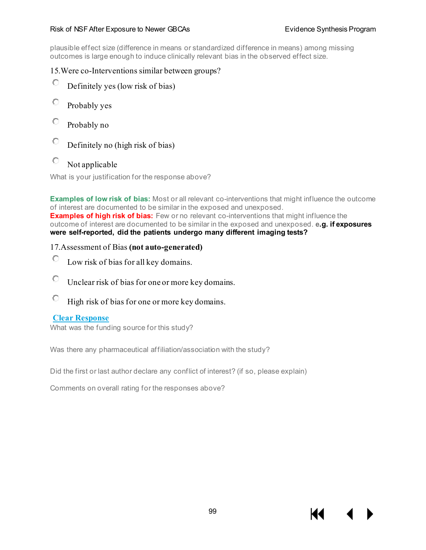#### Risk of NSF After Exposure to Newer GBCAs **Exposure Exposure Exposure CEAS** Evidence Synthesis Program

plausible effect size (difference in means or standardized difference in means) among missing outcomes is large enough to induce clinically relevant bias in the observed effect size.

## 15.Were co-Interventions similar between groups?

- Ю Definitely yes (low risk of bias)
- О Probably yes
- О Probably no
- $\circ$ Definitely no (high risk of bias)
- 0 Not applicable

What is your justification for the response above?

**Examples of low risk of bias:** Most or all relevant co-interventions that might influence the outcome of interest are documented to be similar in the exposed and unexposed. **Examples of high risk of bias:** Few or no relevant co-interventions that might influence the outcome of interest are documented to be similar in the exposed and unexposed. **e.g. if exposures were self-reported, did the patients undergo many different imaging tests?**

## 17.Assessment of Bias **(not auto-generated)**

- Ю Low risk of bias for all key domains.
- О Unclear risk of bias for one or more key domains.
- 0. High risk of bias for one or more key domains.

## **Clear [Response](https://v2dis-prod.evidencepartners.com/Submit/RenderForm.php?id=67&hide_abstract=1)**

What was the funding source for this study?

Was there any pharmaceutical affiliation/association with the study?

Did the first or last author declare any conflict of interest? (if so, please explain)

Comments on overall rating for the responses above?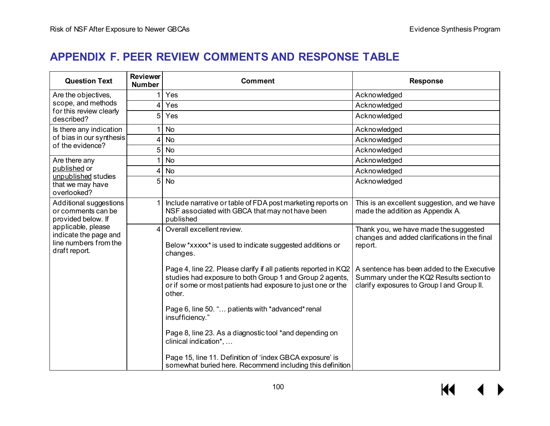# **APPENDIX F. PEER REVIEW COMMENTS AND RESPONSE TABLE**

| <b>Question Text</b>                                                                  | <b>Reviewer</b><br><b>Number</b> | <b>Comment</b>                                                                                                                                                                                       | <b>Response</b>                                                                                                                      |
|---------------------------------------------------------------------------------------|----------------------------------|------------------------------------------------------------------------------------------------------------------------------------------------------------------------------------------------------|--------------------------------------------------------------------------------------------------------------------------------------|
| Are the objectives,                                                                   |                                  | Yes                                                                                                                                                                                                  | Acknowledged                                                                                                                         |
| scope, and methods<br>for this review clearly                                         | 4                                | Yes                                                                                                                                                                                                  | Acknowledged                                                                                                                         |
| described?                                                                            | 5                                | Yes                                                                                                                                                                                                  | Acknowledged                                                                                                                         |
| Is there any indication                                                               |                                  | <b>No</b>                                                                                                                                                                                            | Acknowledged                                                                                                                         |
| of bias in our synthesis<br>of the evidence?                                          | 4                                | <b>No</b>                                                                                                                                                                                            | Acknowledged                                                                                                                         |
|                                                                                       | 5                                | <b>No</b>                                                                                                                                                                                            | Acknowledged                                                                                                                         |
| Are there any                                                                         |                                  | No                                                                                                                                                                                                   | Acknowledged                                                                                                                         |
| published or<br>unpublished studies                                                   | 4                                | <b>No</b>                                                                                                                                                                                            | Acknowledged                                                                                                                         |
| that we may have<br>overlooked?                                                       | 5                                | <b>No</b>                                                                                                                                                                                            | Acknowledged                                                                                                                         |
| Additional suggestions<br>or comments can be<br>provided below. If                    |                                  | Include narrative or table of FDA post marketing reports on<br>NSF associated with GBCA that may not have been<br>published                                                                          | This is an excellent suggestion, and we have<br>made the addition as Appendix A.                                                     |
| applicable, please<br>indicate the page and<br>line numbers from the<br>draft report. | 4                                | Overall excellent review.<br>Below *xxxxx* is used to indicate suggested additions or<br>changes.                                                                                                    | Thank you, we have made the suggested<br>changes and added clarifications in the final<br>report.                                    |
|                                                                                       |                                  | Page 4, line 22. Please clarify if all patients reported in KQ2<br>studies had exposure to both Group 1 and Group 2 agents,<br>or if some or most patients had exposure to just one or the<br>other. | A sentence has been added to the Executive<br>Summary under the KQ2 Results section to<br>clarify exposures to Group I and Group II. |
|                                                                                       |                                  | Page 6, line 50. " patients with *advanced* renal<br>insufficiency."                                                                                                                                 |                                                                                                                                      |
|                                                                                       |                                  | Page 8, line 23. As a diagnostic tool *and depending on<br>clinical indication*,                                                                                                                     |                                                                                                                                      |
|                                                                                       |                                  | Page 15, line 11. Definition of 'index GBCA exposure' is<br>somewhat buried here. Recommend including this definition                                                                                |                                                                                                                                      |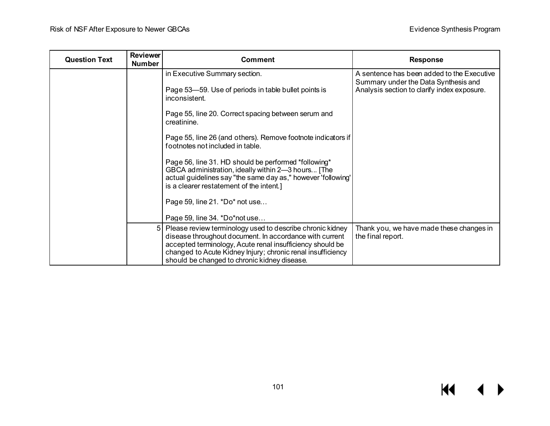| <b>Question Text</b> | <b>Reviewer</b><br><b>Number</b> | <b>Comment</b>                                                                                                                                                                                                                                                                                     | <b>Response</b>                                                                     |
|----------------------|----------------------------------|----------------------------------------------------------------------------------------------------------------------------------------------------------------------------------------------------------------------------------------------------------------------------------------------------|-------------------------------------------------------------------------------------|
|                      |                                  | in Executive Summary section.                                                                                                                                                                                                                                                                      | A sentence has been added to the Executive                                          |
|                      |                                  | Page 53–59. Use of periods in table bullet points is<br>inconsistent.                                                                                                                                                                                                                              | Summary under the Data Synthesis and<br>Analysis section to clarify index exposure. |
|                      |                                  | Page 55, line 20. Correct spacing between serum and<br>creatinine.                                                                                                                                                                                                                                 |                                                                                     |
|                      |                                  | Page 55, line 26 (and others). Remove footnote indicators if<br>footnotes not included in table.                                                                                                                                                                                                   |                                                                                     |
|                      |                                  | Page 56, line 31. HD should be performed *following*<br>GBCA administration, ideally within 2-3 hours [The<br>actual guidelines say "the same day as," however 'following'<br>is a clearer restatement of the intent.]                                                                             |                                                                                     |
|                      |                                  | Page 59, line 21. *Do* not use                                                                                                                                                                                                                                                                     |                                                                                     |
|                      |                                  | Page 59, line 34. *Do*not use                                                                                                                                                                                                                                                                      |                                                                                     |
|                      |                                  | 5 Please review terminology used to describe chronic kidney<br>disease throughout document. In accordance with current<br>accepted terminology, Acute renal insufficiency should be<br>changed to Acute Kidney Injury; chronic renal insufficiency<br>should be changed to chronic kidney disease. | Thank you, we have made these changes in<br>the final report.                       |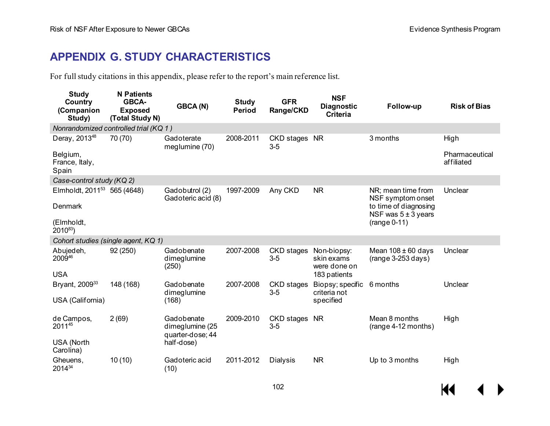# **APPENDIX G. STUDY CHARACTERISTICS**

For full study citations in this appendix, please refer to the report's main reference list.

| Study<br>Country<br>(Companion<br>Study)                                        | <b>N</b> Patients<br><b>GBCA-</b><br><b>Exposed</b><br>(Total Study N) | <b>GBCA(N)</b>                                                  | <b>Study</b><br><b>Period</b> | <b>GFR</b><br>Range/CKD    | <b>NSF</b><br><b>Diagnostic</b><br><b>Criteria</b>        | Follow-up                                                                                                     | <b>Risk of Bias</b>                  |
|---------------------------------------------------------------------------------|------------------------------------------------------------------------|-----------------------------------------------------------------|-------------------------------|----------------------------|-----------------------------------------------------------|---------------------------------------------------------------------------------------------------------------|--------------------------------------|
| Nonrandomized controlled trial (KQ 1)                                           |                                                                        |                                                                 |                               |                            |                                                           |                                                                                                               |                                      |
| Deray, 2013 <sup>48</sup><br>Belgium,<br>France, Italy,<br>Spain                | 70 (70)                                                                | Gadoterate<br>meglumine (70)                                    | 2008-2011                     | CKD stages NR<br>$3-5$     |                                                           | 3 months                                                                                                      | High<br>Pharmaceutical<br>affiliated |
| Case-control study (KQ 2)                                                       |                                                                        |                                                                 |                               |                            |                                                           |                                                                                                               |                                      |
| Elmholdt, 2011 <sup>53</sup> 565 (4648)<br>Denmark<br>(Elmholdt,<br>$2010^{83}$ |                                                                        | Gadobutrol (2)<br>Gadoteric acid (8)                            | 1997-2009                     | Any CKD                    | <b>NR</b>                                                 | NR; mean time from<br>NSF symptom onset<br>to time of diagnosing<br>NSF was $5 \pm 3$ years<br>$(range 0-11)$ | Unclear                              |
| Cohort studies (single agent, KQ 1)                                             |                                                                        |                                                                 |                               |                            |                                                           |                                                                                                               |                                      |
| Abujedeh,<br>200946<br><b>USA</b>                                               | 92 (250)                                                               | Gadobenate<br>dimeglumine<br>(250)                              | 2007-2008                     | <b>CKD</b> stages<br>$3-5$ | Non-biopsy:<br>skin exams<br>were done on<br>183 patients | Mean $108 \pm 60$ days<br>$(range 3-253 days)$                                                                | Unclear                              |
| Bryant, 2009 <sup>33</sup><br>USA (California)                                  | 148 (168)                                                              | Gadobenate<br>dimeglumine<br>(168)                              | 2007-2008                     | <b>CKD</b> stages<br>$3-5$ | Biopsy; specific<br>criteria not<br>specified             | 6 months                                                                                                      | Unclear                              |
| de Campos,<br>201145<br>USA (North<br>Carolina)                                 | 2(69)                                                                  | Gadobenate<br>dimeglumine (25<br>quarter-dose; 44<br>half-dose) | 2009-2010                     | CKD stages<br>$3-5$        | <b>NR</b>                                                 | Mean 8 months<br>(range 4-12 months)                                                                          | High                                 |
| Gheuens,<br>201434                                                              | 10(10)                                                                 | Gadoteric acid<br>(10)                                          | 2011-2012                     | <b>Dialysis</b>            | <b>NR</b>                                                 | Up to 3 months                                                                                                | High                                 |

K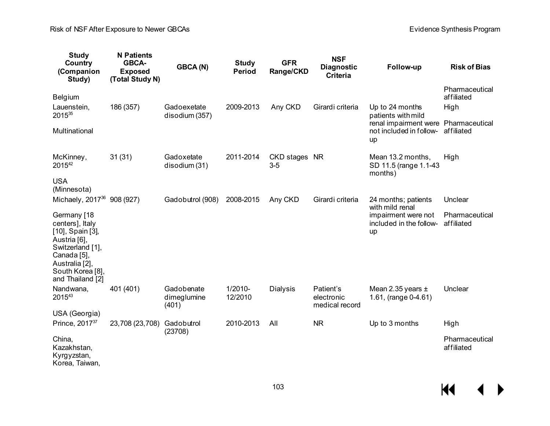Risk of NSF After Exposure to Newer GBCAs **Exposure COST After Synthesis Program** Evidence Synthesis Program

| <b>Study</b><br>Country<br>(Companion<br>Study)                                                                                                                 | <b>N</b> Patients<br>GBCA-<br><b>Exposed</b><br>(Total Study N) | GBCA(N)                            | <b>Study</b><br><b>Period</b> | <b>GFR</b><br>Range/CKD | <b>NSF</b><br><b>Diagnostic</b><br><b>Criteria</b> | Follow-up                                                             | <b>Risk of Bias</b>          |
|-----------------------------------------------------------------------------------------------------------------------------------------------------------------|-----------------------------------------------------------------|------------------------------------|-------------------------------|-------------------------|----------------------------------------------------|-----------------------------------------------------------------------|------------------------------|
| Belgium                                                                                                                                                         |                                                                 |                                    |                               |                         |                                                    |                                                                       | Pharmaceutical<br>affiliated |
| Lauenstein,<br>201535                                                                                                                                           | 186 (357)                                                       | Gadoexetate<br>disodium (357)      | 2009-2013                     | Any CKD                 | Girardi criteria                                   | Up to 24 months<br>patients with mild                                 | High                         |
| Multinational                                                                                                                                                   |                                                                 |                                    |                               |                         |                                                    | renal impairment were Pharmaceutical<br>not included in follow-<br>up | affiliated                   |
| McKinney,<br>201542                                                                                                                                             | 31(31)                                                          | Gadoxetate<br>disodium (31)        | 2011-2014                     | CKD stages NR<br>$3-5$  |                                                    | Mean 13.2 months,<br>SD 11.5 (range 1.1-43<br>months)                 | High                         |
| <b>USA</b><br>(Minnesota)                                                                                                                                       |                                                                 |                                    |                               |                         |                                                    |                                                                       |                              |
| Michaely, 2017 <sup>36</sup> 908 (927)                                                                                                                          |                                                                 | Gadobutrol (908)                   | 2008-2015                     | Any CKD                 | Girardi criteria                                   | 24 months; patients<br>with mild renal                                | Unclear                      |
| Germany [18<br>centers], Italy<br>[10], Spain [3],<br>Austria [6],<br>Switzerland [1],<br>Canada [5],<br>Australia [2],<br>South Korea [8],<br>and Thailand [2] |                                                                 |                                    |                               |                         |                                                    | impairment were not<br>included in the follow-<br>up                  | Pharmaceutical<br>affiliated |
| Nandwana,<br>201543                                                                                                                                             | 401 (401)                                                       | Gadobenate<br>dimeglumine<br>(401) | 1/2010-<br>12/2010            | <b>Dialysis</b>         | Patient's<br>electronic<br>medical record          | Mean 2.35 years $\pm$<br>1.61, (range 0-4.61)                         | Unclear                      |
| USA (Georgia)<br>Prince, 2017 <sup>37</sup>                                                                                                                     | 23,708 (23,708)                                                 | Gadobutrol                         | 2010-2013                     | All                     | <b>NR</b>                                          | Up to 3 months                                                        | High                         |
|                                                                                                                                                                 |                                                                 | (23708)                            |                               |                         |                                                    |                                                                       |                              |
| China,<br>Kazakhstan,<br>Kyrgyzstan,<br>Korea, Taiwan,                                                                                                          |                                                                 |                                    |                               |                         |                                                    |                                                                       | Pharmaceutical<br>affiliated |

 $M \leftarrow \leftarrow$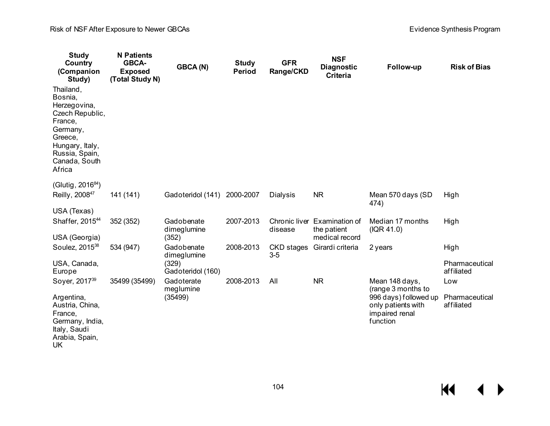| <b>Study</b><br>Country<br>(Companion<br>Study)                                                                                                           | <b>N</b> Patients<br>GBCA-<br><b>Exposed</b><br>(Total Study N) | GBCA(N)                    | <b>Study</b><br><b>Period</b> | <b>GFR</b><br>Range/CKD | <b>NSF</b><br><b>Diagnostic</b><br><b>Criteria</b> | Follow-up                                                                 | <b>Risk of Bias</b>          |
|-----------------------------------------------------------------------------------------------------------------------------------------------------------|-----------------------------------------------------------------|----------------------------|-------------------------------|-------------------------|----------------------------------------------------|---------------------------------------------------------------------------|------------------------------|
| Thailand,<br>Bosnia,<br>Herzegovina,<br>Czech Republic,<br>France,<br>Germany,<br>Greece,<br>Hungary, Italy,<br>Russia, Spain,<br>Canada, South<br>Africa |                                                                 |                            |                               |                         |                                                    |                                                                           |                              |
| (Glutig, 2016 <sup>84</sup> )<br>Reilly, 200847                                                                                                           | 141 (141)                                                       | Gadoteridol (141)          | 2000-2007                     | <b>Dialysis</b>         | <b>NR</b>                                          | Mean 570 days (SD<br>474)                                                 | High                         |
| USA (Texas)                                                                                                                                               |                                                                 |                            |                               |                         |                                                    |                                                                           |                              |
| Shaffer, 2015 <sup>44</sup>                                                                                                                               | 352 (352)                                                       | Gadobenate<br>dimeglumine  | 2007-2013                     | disease                 | Chronic liver Examination of<br>the patient        | Median 17 months<br>( IQR 41.0)                                           | High                         |
| USA (Georgia)                                                                                                                                             |                                                                 | (352)                      |                               |                         | medical record                                     |                                                                           |                              |
| Soulez, 2015 <sup>38</sup>                                                                                                                                | 534 (947)                                                       | Gadobenate<br>dimeglumine  | 2008-2013                     | CKD stages<br>$3-5$     | Girardi criteria                                   | 2 years                                                                   | High                         |
| USA, Canada,<br>Europe                                                                                                                                    |                                                                 | (329)<br>Gadoteridol (160) |                               |                         |                                                    |                                                                           | Pharmaceutical<br>affiliated |
| Soyer, 2017 <sup>39</sup>                                                                                                                                 | 35499 (35499)                                                   | Gadoterate<br>meglumine    | 2008-2013                     | All                     | <b>NR</b>                                          | Mean 148 days,<br>(range 3 months to                                      | Low                          |
| Argentina,<br>Austria, China,<br>France,<br>Germany, India,<br>Italy, Saudi<br>Arabia, Spain,<br>UK                                                       |                                                                 | (35499)                    |                               |                         |                                                    | 996 days) followed up<br>only patients with<br>impaired renal<br>function | Pharmaceutical<br>affiliated |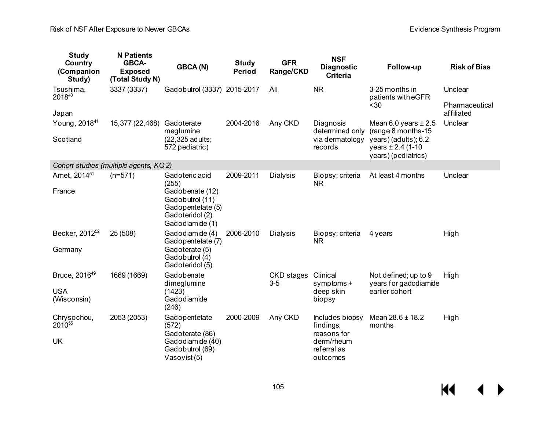$M$ 

 $\leftrightarrow$ 

| <b>Study</b><br>Country<br>(Companion<br>Study) | <b>N</b> Patients<br>GBCA-<br><b>Exposed</b><br>(Total Study N) | <b>GBCA(N)</b>                                                                                | <b>Study</b><br>Period | <b>GFR</b><br>Range/CKD | <b>NSF</b><br><b>Diagnostic</b><br><b>Criteria</b>   | Follow-up                                                             | <b>Risk of Bias</b>          |
|-------------------------------------------------|-----------------------------------------------------------------|-----------------------------------------------------------------------------------------------|------------------------|-------------------------|------------------------------------------------------|-----------------------------------------------------------------------|------------------------------|
| Tsushima,<br>201840                             | 3337 (3337)                                                     | Gadobutrol (3337) 2015-2017                                                                   |                        | All                     | <b>NR</b>                                            | 3-25 months in<br>patients with eGFR                                  | Unclear                      |
| Japan                                           |                                                                 |                                                                                               |                        |                         |                                                      | $30$                                                                  | Pharmaceutical<br>affiliated |
| Young, 2018 <sup>41</sup>                       | 15,377 (22,468)                                                 | Gadoterate<br>meglumine                                                                       | 2004-2016              | Any CKD                 | Diagnosis<br>determined only                         | Mean 6.0 years $\pm 2.5$<br>(range 8 months-15)                       | Unclear                      |
| Scotland                                        |                                                                 | (22,325 adults;<br>572 pediatric)                                                             |                        |                         | via dermatology<br>records                           | years) (adults); 6.2<br>years $\pm 2.4$ (1-10)<br>years) (pediatrics) |                              |
| Cohort studies (multiple agents, KQ 2)          |                                                                 |                                                                                               |                        |                         |                                                      |                                                                       |                              |
| Amet, 2014 <sup>51</sup>                        | $(n=571)$                                                       | Gadoteric acid<br>(255)                                                                       | 2009-2011              | <b>Dialysis</b>         | Biopsy; criteria<br><b>NR</b>                        | At least 4 months                                                     | Unclear                      |
| France                                          |                                                                 | Gadobenate (12)<br>Gadobutrol (11)<br>Gadopentetate (5)<br>Gadoteridol (2)<br>Gadodiamide (1) |                        |                         |                                                      |                                                                       |                              |
| Becker, 2012 <sup>52</sup>                      | 25(508)                                                         | Gadodiamide (4)<br>Gadopentetate (7)                                                          | 2006-2010              | <b>Dialysis</b>         | Biopsy; criteria<br><b>NR</b>                        | 4 years                                                               | High                         |
| Germany                                         |                                                                 | Gadoterate (5)<br>Gadobutrol (4)<br>Gadoteridol (5)                                           |                        |                         |                                                      |                                                                       |                              |
| Bruce, 2016 <sup>49</sup>                       | 1669 (1669)                                                     | Gadobenate<br>dimeglumine                                                                     |                        | CKD stages<br>$3-5$     | Clinical<br>symptoms +                               | Not defined; up to 9<br>years for gadodiamide                         | High                         |
| <b>USA</b><br>(Wisconsin)                       |                                                                 | (1423)<br>Gadodiamide<br>(246)                                                                |                        |                         | deep skin<br>biopsy                                  | earlier cohort                                                        |                              |
| Chrysochou,<br>2010 <sup>55</sup>               | 2053 (2053)                                                     | Gadopentetate<br>(572)                                                                        | 2000-2009              | Any CKD                 | Includes biopsy<br>findings,                         | Mean $28.6 \pm 18.2$<br>months                                        | High                         |
| <b>UK</b>                                       |                                                                 | Gadoterate (86)<br>Gadodiamide (40)<br>Gadobutrol (69)<br>Vasovist (5)                        |                        |                         | reasons for<br>derm/rheum<br>referral as<br>outcomes |                                                                       |                              |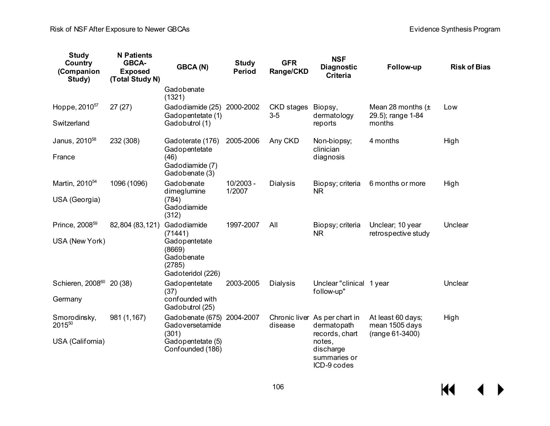| <b>Study</b><br>Country<br>(Companion<br>Study) | <b>N</b> Patients<br>GBCA-<br><b>Exposed</b><br>(Total Study N) | GBCA(N)                                                              | <b>Study</b><br><b>Period</b> | <b>GFR</b><br>Range/CKD  | <b>NSF</b><br><b>Diagnostic</b><br><b>Criteria</b> | Follow-up                                              | <b>Risk of Bias</b> |
|-------------------------------------------------|-----------------------------------------------------------------|----------------------------------------------------------------------|-------------------------------|--------------------------|----------------------------------------------------|--------------------------------------------------------|---------------------|
|                                                 |                                                                 | Gadobenate<br>(1321)                                                 |                               |                          |                                                    |                                                        |                     |
| Hoppe, 2010 <sup>57</sup>                       | 27(27)                                                          | Gadodiamide (25)<br>Gadopentetate (1)                                | 2000-2002                     | CKD stages<br>$3-5$      | Biopsy,<br>dermatology                             | Mean 28 months $(\pm$<br>29.5); range 1-84             | Low                 |
| Switzerland                                     |                                                                 | Gadobutrol (1)                                                       |                               |                          | reports                                            | months                                                 |                     |
| Janus, 2010 <sup>58</sup>                       | 232 (308)                                                       | Gadoterate (176)<br>Gadopentetate                                    | 2005-2006                     | Any CKD                  | Non-biopsy;<br>clinician                           | 4 months                                               | High                |
| France                                          |                                                                 | (46)<br>Gadodiamide (7)<br>Gadobenate (3)                            |                               |                          | diagnosis                                          |                                                        |                     |
| Martin, 2010 <sup>54</sup>                      | 1096 (1096)                                                     | Gadobenate<br>dimeglumine                                            | 10/2003 -<br>1/2007           | <b>Dialysis</b>          | Biopsy; criteria<br><b>NR</b>                      | 6 months or more                                       | High                |
| USA (Georgia)                                   |                                                                 | (784)<br>Gadodiamide<br>(312)                                        |                               |                          |                                                    |                                                        |                     |
| Prince, 2008 <sup>59</sup>                      | 82,804 (83,121)                                                 | Gadodiamide<br>(71441)                                               | 1997-2007                     | All                      | Biopsy; criteria<br><b>NR</b>                      | Unclear; 10 year<br>retrospective study                | Unclear             |
| USA (New York)                                  |                                                                 | Gadopentetate<br>(8669)<br>Gadobenate<br>(2785)<br>Gadoteridol (226) |                               |                          |                                                    |                                                        |                     |
| Schieren, 2008 <sup>60</sup>                    | 20(38)                                                          | Gadopentetate<br>(37)                                                | 2003-2005                     | <b>Dialysis</b>          | Unclear "clinical 1 year<br>follow-up"             |                                                        | Unclear             |
| Germany                                         |                                                                 | confounded with<br>Gadobutrol (25)                                   |                               |                          |                                                    |                                                        |                     |
| Smorodinsky,<br>201550                          | 981 (1,167)                                                     | Gadobenate (675) 2004-2007<br>Gadoversetamide<br>(301)               |                               | Chronic liver<br>disease | As per chart in<br>dermatopath<br>records, chart   | At least 60 days;<br>mean 1505 days<br>(range 61-3400) | High                |
| USA (California)                                |                                                                 | Gadopentetate (5)<br>Confounded (186)                                |                               |                          | notes,<br>discharge<br>summaries or                |                                                        |                     |

ICD-9 codes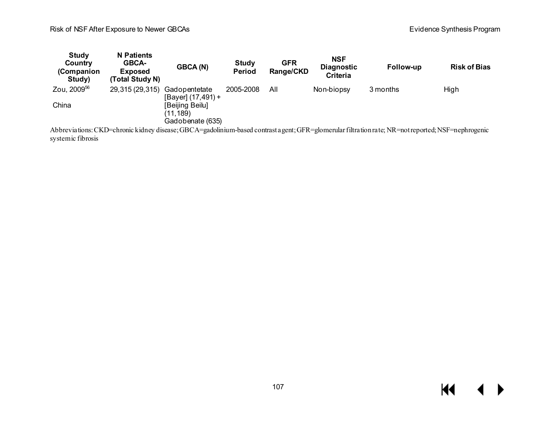#### Risk of NSF After Exposure to Newer GBCAs **Exposure COST And Accord Contract Contract Contract Contract Contract Contract Contract Contract Contract Contract Contract Contract Contract Contract Contract Contract Contract C**

| Study<br>Country<br>(Companion<br>Study) | <b>N</b> Patients<br><b>GBCA-</b><br><b>Exposed</b><br>(Total Study N) | GBCA(N)                                         | <b>Study</b><br><b>Period</b> | <b>GFR</b><br>Range/CKD | NSF<br><b>Diagnostic</b><br><b>Criteria</b> | Follow-up | <b>Risk of Bias</b> |
|------------------------------------------|------------------------------------------------------------------------|-------------------------------------------------|-------------------------------|-------------------------|---------------------------------------------|-----------|---------------------|
| Zou, 2009 <sup>56</sup>                  | 29,315 (29,315)                                                        | Gadopentetate<br>[Bayer] (17,491) +             | 2005-2008                     | All                     | Non-biopsy                                  | 3 months  | High                |
| China                                    |                                                                        | [Beijing Beilu]<br>(11,189)<br>Gadobenate (635) |                               |                         |                                             |           |                     |
|                                          |                                                                        |                                                 |                               |                         |                                             |           |                     |

Abbreviations:CKD=chronic kidney disease; GBCA=gadolinium-based contrast agent; GFR=glomerular filtration rate; NR=not reported; NSF=nephrogenic systemic fibrosis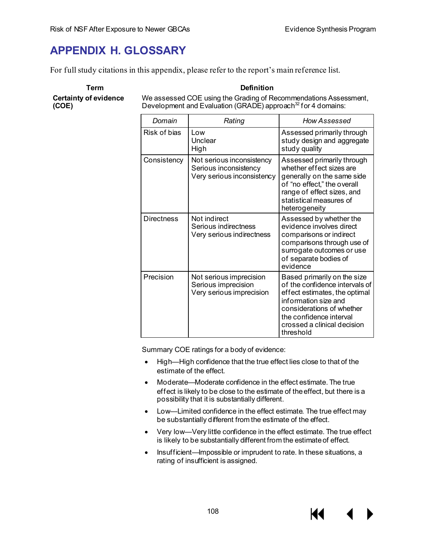# **APPENDIX H. GLOSSARY**

For full study citations in this appendix, please refer to the report's main reference list.

**Certainty of evidence (COE)**

**Term Definition**

We assessed COE using the Grading of Recommendations Assessment, Development and Evaluation (GRADE) approach<sup>32</sup> for 4 domains:

| Domain            | Rating                                                                           | <b>How Assessed</b>                                                                                                                                                                                                        |
|-------------------|----------------------------------------------------------------------------------|----------------------------------------------------------------------------------------------------------------------------------------------------------------------------------------------------------------------------|
| Risk of bias      | l ow<br>Unclear<br>High                                                          | Assessed primarily through<br>study design and aggregate<br>study quality                                                                                                                                                  |
| Consistency       | Not serious inconsistency<br>Serious inconsistency<br>Very serious inconsistency | Assessed primarily through<br>whether effect sizes are<br>generally on the same side<br>of "no effect," the overall<br>range of effect sizes, and<br>statistical measures of<br>heterogeneity                              |
| <b>Directness</b> | Not indirect<br>Serious indirectness<br>Very serious indirectness                | Assessed by whether the<br>evidence involves direct<br>comparisons or indirect<br>comparisons through use of<br>surrogate outcomes or use<br>of separate bodies of<br>evidence                                             |
| Precision         | Not serious imprecision<br>Serious imprecision<br>Very serious imprecision       | Based primarily on the size<br>of the confidence intervals of<br>effect estimates, the optimal<br>information size and<br>considerations of whether<br>the confidence interval<br>crossed a clinical decision<br>threshold |

Summary COE ratings for a body of evidence:

- High—High confidence that the true effect lies close to that of the estimate of the effect.
- Moderate—Moderate confidence in the effect estimate. The true effect is likely to be close to the estimate of the effect, but there is a possibility that it is substantially different.
- Low—Limited confidence in the effect estimate. The true effect may be substantially different from the estimate of the effect.
- Very low—Very little confidence in the effect estimate. The true effect is likely to be substantially different from the estimate of effect.

11

• Insufficient—Impossible or imprudent to rate. In these situations, a rating of insufficient is assigned.

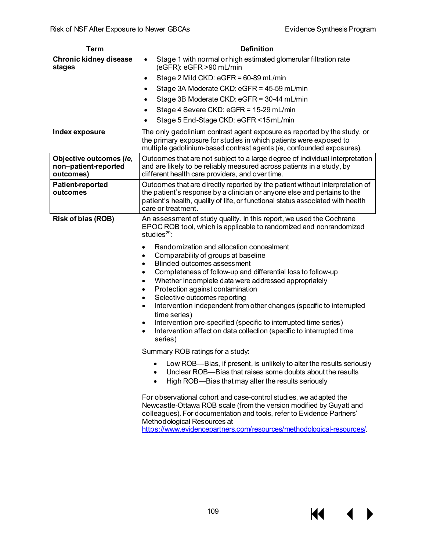| <b>Term</b>                                                  | <b>Definition</b>                                                                                                                                                                                                                                                                                                                                                                                                                                                                                                                                                                                                                                   |
|--------------------------------------------------------------|-----------------------------------------------------------------------------------------------------------------------------------------------------------------------------------------------------------------------------------------------------------------------------------------------------------------------------------------------------------------------------------------------------------------------------------------------------------------------------------------------------------------------------------------------------------------------------------------------------------------------------------------------------|
| <b>Chronic kidney disease</b><br>stages                      | Stage 1 with normal or high estimated glomerular filtration rate<br>$\bullet$<br>(eGFR): eGFR >90 mL/min                                                                                                                                                                                                                                                                                                                                                                                                                                                                                                                                            |
|                                                              | Stage 2 Mild CKD: eGFR = 60-89 mL/min<br>٠                                                                                                                                                                                                                                                                                                                                                                                                                                                                                                                                                                                                          |
|                                                              | Stage 3A Moderate CKD: eGFR = 45-59 mL/min<br>$\bullet$                                                                                                                                                                                                                                                                                                                                                                                                                                                                                                                                                                                             |
|                                                              | Stage 3B Moderate CKD: eGFR = 30-44 mL/min<br>٠                                                                                                                                                                                                                                                                                                                                                                                                                                                                                                                                                                                                     |
|                                                              | Stage 4 Severe CKD: eGFR = 15-29 mL/min<br>٠                                                                                                                                                                                                                                                                                                                                                                                                                                                                                                                                                                                                        |
|                                                              | Stage 5 End-Stage CKD: eGFR <15 mL/min                                                                                                                                                                                                                                                                                                                                                                                                                                                                                                                                                                                                              |
| Index exposure                                               | The only gadolinium contrast agent exposure as reported by the study, or<br>the primary exposure for studies in which patients were exposed to<br>multiple gadolinium-based contrast agents (ie, confounded exposures).                                                                                                                                                                                                                                                                                                                                                                                                                             |
| Objective outcomes (ie,<br>non-patient-reported<br>outcomes) | Outcomes that are not subject to a large degree of individual interpretation<br>and are likely to be reliably measured across patients in a study, by<br>different health care providers, and over time.                                                                                                                                                                                                                                                                                                                                                                                                                                            |
| <b>Patient-reported</b><br>outcomes                          | Outcomes that are directly reported by the patient without interpretation of<br>the patient's response by a clinician or anyone else and pertains to the<br>patient's health, quality of life, or functional status associated with health<br>care or treatment.                                                                                                                                                                                                                                                                                                                                                                                    |
| Risk of bias (ROB)                                           | An assessment of study quality. In this report, we used the Cochrane<br>EPOC ROB tool, which is applicable to randomized and nonrandomized<br>studies $^{29}$ :                                                                                                                                                                                                                                                                                                                                                                                                                                                                                     |
|                                                              | Randomization and allocation concealment<br>$\bullet$<br>Comparability of groups at baseline<br>٠<br>Blinded outcomes assessment<br>$\bullet$<br>Completeness of follow-up and differential loss to follow-up<br>٠<br>Whether incomplete data were addressed appropriately<br>$\bullet$<br>Protection against contamination<br>٠<br>Selective outcomes reporting<br>٠<br>Intervention independent from other changes (specific to interrupted<br>$\bullet$<br>time series)<br>Intervention pre-specified (specific to interrupted time series)<br>$\bullet$<br>Intervention affect on data collection (specific to interrupted time<br>٠<br>series) |
|                                                              | Summary ROB ratings for a study:                                                                                                                                                                                                                                                                                                                                                                                                                                                                                                                                                                                                                    |
|                                                              | Low ROB—Bias, if present, is unlikely to alter the results seriously<br>٠<br>Unclear ROB-Bias that raises some doubts about the results<br>High ROB-Bias that may alter the results seriously<br>$\bullet$                                                                                                                                                                                                                                                                                                                                                                                                                                          |
|                                                              | For observational cohort and case-control studies, we adapted the<br>Newcastle-Ottawa ROB scale (from the version modified by Guyatt and<br>colleagues). For documentation and tools, refer to Evidence Partners'<br>Methodological Resources at                                                                                                                                                                                                                                                                                                                                                                                                    |

[https://www.evidencepartners.com/resources/methodological-resources/.](https://www.evidencepartners.com/resources/methodological-resources/)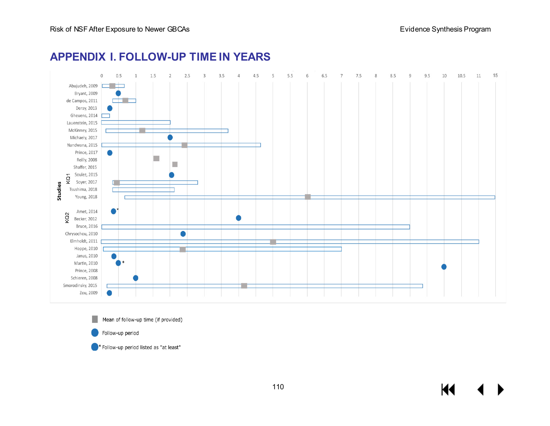

# **APPENDIX I. FOLLOW-UP TIME IN YEARS**

Mean of follow-up time (if provided) Follow-up period

\* Follow-up period listed as "at least"